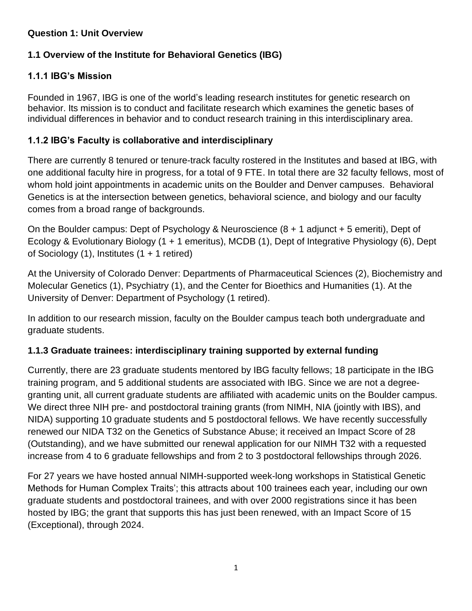## **Question 1: Unit Overview**

# **1.1 Overview of the Institute for Behavioral Genetics (IBG)**

## **1.1.1 IBG's Mission**

Founded in 1967, IBG is one of the world's leading research institutes for genetic research on behavior. Its mission is to conduct and facilitate research which examines the genetic bases of individual differences in behavior and to conduct research training in this interdisciplinary area.

## **1.1.2 IBG's Faculty is collaborative and interdisciplinary**

There are currently 8 tenured or tenure-track faculty rostered in the Institutes and based at IBG, with one additional faculty hire in progress, for a total of 9 FTE. In total there are 32 faculty fellows, most of whom hold joint appointments in academic units on the Boulder and Denver campuses. Behavioral Genetics is at the intersection between genetics, behavioral science, and biology and our faculty comes from a broad range of backgrounds.

On the Boulder campus: Dept of Psychology & Neuroscience (8 + 1 adjunct + 5 emeriti), Dept of Ecology & Evolutionary Biology (1 + 1 emeritus), MCDB (1), Dept of Integrative Physiology (6), Dept of Sociology (1), Institutes (1 + 1 retired)

At the University of Colorado Denver: Departments of Pharmaceutical Sciences (2), Biochemistry and Molecular Genetics (1), Psychiatry (1), and the Center for Bioethics and Humanities (1). At the University of Denver: Department of Psychology (1 retired).

In addition to our research mission, faculty on the Boulder campus teach both undergraduate and graduate students.

## **1.1.3 Graduate trainees: interdisciplinary training supported by external funding**

Currently, there are 23 graduate students mentored by IBG faculty fellows; 18 participate in the IBG training program, and 5 additional students are associated with IBG. Since we are not a degreegranting unit, all current graduate students are affiliated with academic units on the Boulder campus. We direct three NIH pre- and postdoctoral training grants (from NIMH, NIA (jointly with IBS), and NIDA) supporting 10 graduate students and 5 postdoctoral fellows. We have recently successfully renewed our NIDA T32 on the Genetics of Substance Abuse; it received an Impact Score of 28 (Outstanding), and we have submitted our renewal application for our NIMH T32 with a requested increase from 4 to 6 graduate fellowships and from 2 to 3 postdoctoral fellowships through 2026.

For 27 years we have hosted annual NIMH-supported week-long workshops in Statistical Genetic Methods for Human Complex Traits'; this attracts about 100 trainees each year, including our own graduate students and postdoctoral trainees, and with over 2000 registrations since it has been hosted by IBG; the grant that supports this has just been renewed, with an Impact Score of 15 (Exceptional), through 2024.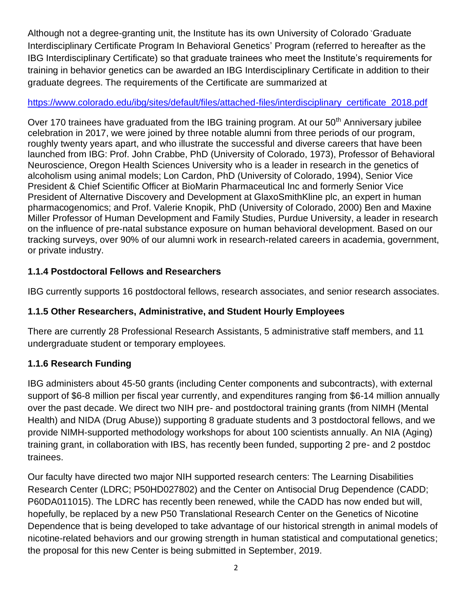Although not a degree-granting unit, the Institute has its own University of Colorado `Graduate Interdisciplinary Certificate Program In Behavioral Genetics' Program (referred to hereafter as the IBG Interdisciplinary Certificate) so that graduate trainees who meet the Institute's requirements for training in behavior genetics can be awarded an IBG Interdisciplinary Certificate in addition to their graduate degrees. The requirements of the Certificate are summarized at

## [https://www.colorado.edu/ibg/sites/default/files/attached-files/interdisciplinary\\_certificate\\_2018.pdf](https://www.colorado.edu/ibg/sites/default/files/attached-files/interdisciplinary_certificate_2018.pdf)

Over 170 trainees have graduated from the IBG training program. At our 50<sup>th</sup> Anniversary jubilee celebration in 2017, we were joined by three notable alumni from three periods of our program, roughly twenty years apart, and who illustrate the successful and diverse careers that have been launched from IBG: Prof. John Crabbe, PhD (University of Colorado, 1973), Professor of Behavioral Neuroscience, Oregon Health Sciences University who is a leader in research in the genetics of alcoholism using animal models; Lon Cardon, PhD (University of Colorado, 1994), Senior Vice President & Chief Scientific Officer at BioMarin Pharmaceutical Inc and formerly Senior Vice President of Alternative Discovery and Development at GlaxoSmithKline plc, an expert in human pharmacogenomics; and Prof. Valerie Knopik, PhD (University of Colorado, 2000) Ben and Maxine Miller Professor of Human Development and Family Studies, Purdue University, a leader in research on the influence of pre-natal substance exposure on human behavioral development. Based on our tracking surveys, over 90% of our alumni work in research-related careers in academia, government, or private industry.

## **1.1.4 Postdoctoral Fellows and Researchers**

IBG currently supports 16 postdoctoral fellows, research associates, and senior research associates.

## **1.1.5 Other Researchers, Administrative, and Student Hourly Employees**

There are currently 28 Professional Research Assistants, 5 administrative staff members, and 11 undergraduate student or temporary employees.

## **1.1.6 Research Funding**

IBG administers about 45-50 grants (including Center components and subcontracts), with external support of \$6-8 million per fiscal year currently, and expenditures ranging from \$6-14 million annually over the past decade. We direct two NIH pre- and postdoctoral training grants (from NIMH (Mental Health) and NIDA (Drug Abuse)) supporting 8 graduate students and 3 postdoctoral fellows, and we provide NIMH-supported methodology workshops for about 100 scientists annually. An NIA (Aging) training grant, in collaboration with IBS, has recently been funded, supporting 2 pre- and 2 postdoc trainees.

Our faculty have directed two major NIH supported research centers: The Learning Disabilities Research Center (LDRC; P50HD027802) and the Center on Antisocial Drug Dependence (CADD; P60DA011015). The LDRC has recently been renewed, while the CADD has now ended but will, hopefully, be replaced by a new P50 Translational Research Center on the Genetics of Nicotine Dependence that is being developed to take advantage of our historical strength in animal models of nicotine-related behaviors and our growing strength in human statistical and computational genetics; the proposal for this new Center is being submitted in September, 2019.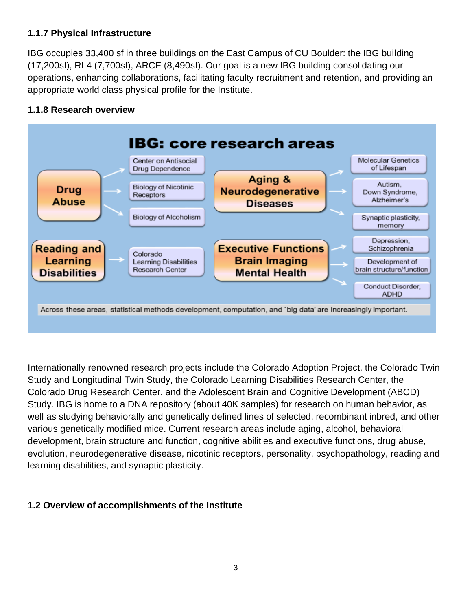## **1.1.7 Physical Infrastructure**

IBG occupies 33,400 sf in three buildings on the East Campus of CU Boulder: the IBG building (17,200sf), RL4 (7,700sf), ARCE (8,490sf). Our goal is a new IBG building consolidating our operations, enhancing collaborations, facilitating faculty recruitment and retention, and providing an appropriate world class physical profile for the Institute.

## **1.1.8 Research overview**



Internationally renowned research projects include the Colorado Adoption Project, the Colorado Twin Study and Longitudinal Twin Study, the Colorado Learning Disabilities Research Center, the Colorado Drug Research Center, and the Adolescent Brain and Cognitive Development (ABCD) Study. IBG is home to a DNA repository (about 40K samples) for research on human behavior, as well as studying behaviorally and genetically defined lines of selected, recombinant inbred, and other various genetically modified mice. Current research areas include aging, alcohol, behavioral development, brain structure and function, cognitive abilities and executive functions, drug abuse, evolution, neurodegenerative disease, nicotinic receptors, personality, psychopathology, reading and learning disabilities, and synaptic plasticity.

## **1.2 Overview of accomplishments of the Institute**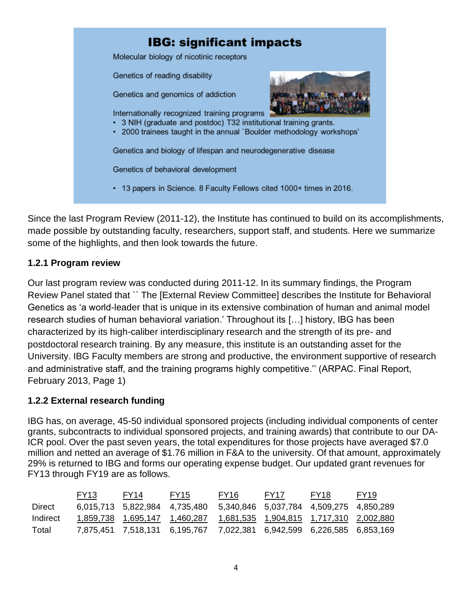

Since the last Program Review (2011-12), the Institute has continued to build on its accomplishments, made possible by outstanding faculty, researchers, support staff, and students. Here we summarize some of the highlights, and then look towards the future.

## **1.2.1 Program review**

Our last program review was conducted during 2011-12. In its summary findings, the Program Review Panel stated that `` The [External Review Committee] describes the Institute for Behavioral Genetics as 'a world-leader that is unique in its extensive combination of human and animal model research studies of human behavioral variation.' Throughout its […] history, IBG has been characterized by its high-caliber interdisciplinary research and the strength of its pre- and postdoctoral research training. By any measure, this institute is an outstanding asset for the University. IBG Faculty members are strong and productive, the environment supportive of research and administrative staff, and the training programs highly competitive.'' (ARPAC. Final Report, February 2013, Page 1)

#### **1.2.2 External research funding**

IBG has, on average, 45-50 individual sponsored projects (including individual components of center grants, subcontracts to individual sponsored projects, and training awards) that contribute to our DA-ICR pool. Over the past seven years, the total expenditures for those projects have averaged \$7.0 million and netted an average of \$1.76 million in F&A to the university. Of that amount, approximately 29% is returned to IBG and forms our operating expense budget. Our updated grant revenues for FY13 through FY19 are as follows.

|          | FY <sub>13</sub> | FY <sub>14</sub> | FY <sub>15</sub>                                                                        | FY <sub>16</sub> | FY <sub>17</sub> | FY <sub>18</sub> | FY <sub>19</sub> |
|----------|------------------|------------------|-----------------------------------------------------------------------------------------|------------------|------------------|------------------|------------------|
| Direct   |                  |                  | 6,015,713 5,822,984 4,735,480 5,340,846 5,037,784 4,509,275 4,850,289                   |                  |                  |                  |                  |
| Indirect |                  |                  | 1,859,738    1,695,147    1,460,287    1,681,535    1,904,815    1,717,310    2,002,880 |                  |                  |                  |                  |
| Total    |                  |                  | 7,875,451 7,518,131 6,195,767 7,022,381 6,942,599 6,226,585 6,853,169                   |                  |                  |                  |                  |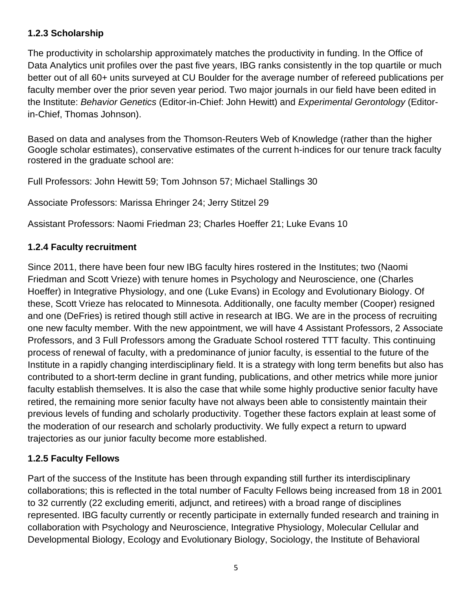## **1.2.3 Scholarship**

The productivity in scholarship approximately matches the productivity in funding. In the Office of Data Analytics unit profiles over the past five years, IBG ranks consistently in the top quartile or much better out of all 60+ units surveyed at CU Boulder for the average number of refereed publications per faculty member over the prior seven year period. Two major journals in our field have been edited in the Institute: *Behavior Genetics* (Editor-in-Chief: John Hewitt) and *Experimental Gerontology* (Editorin-Chief, Thomas Johnson).

Based on data and analyses from the Thomson-Reuters Web of Knowledge (rather than the higher Google scholar estimates), conservative estimates of the current h-indices for our tenure track faculty rostered in the graduate school are:

Full Professors: John Hewitt 59; Tom Johnson 57; Michael Stallings 30

Associate Professors: Marissa Ehringer 24; Jerry Stitzel 29

Assistant Professors: Naomi Friedman 23; Charles Hoeffer 21; Luke Evans 10

## **1.2.4 Faculty recruitment**

Since 2011, there have been four new IBG faculty hires rostered in the Institutes; two (Naomi Friedman and Scott Vrieze) with tenure homes in Psychology and Neuroscience, one (Charles Hoeffer) in Integrative Physiology, and one (Luke Evans) in Ecology and Evolutionary Biology. Of these, Scott Vrieze has relocated to Minnesota. Additionally, one faculty member (Cooper) resigned and one (DeFries) is retired though still active in research at IBG. We are in the process of recruiting one new faculty member. With the new appointment, we will have 4 Assistant Professors, 2 Associate Professors, and 3 Full Professors among the Graduate School rostered TTT faculty. This continuing process of renewal of faculty, with a predominance of junior faculty, is essential to the future of the Institute in a rapidly changing interdisciplinary field. It is a strategy with long term benefits but also has contributed to a short-term decline in grant funding, publications, and other metrics while more junior faculty establish themselves. It is also the case that while some highly productive senior faculty have retired, the remaining more senior faculty have not always been able to consistently maintain their previous levels of funding and scholarly productivity. Together these factors explain at least some of the moderation of our research and scholarly productivity. We fully expect a return to upward trajectories as our junior faculty become more established.

## **1.2.5 Faculty Fellows**

Part of the success of the Institute has been through expanding still further its interdisciplinary collaborations; this is reflected in the total number of Faculty Fellows being increased from 18 in 2001 to 32 currently (22 excluding emeriti, adjunct, and retirees) with a broad range of disciplines represented. IBG faculty currently or recently participate in externally funded research and training in collaboration with Psychology and Neuroscience, Integrative Physiology, Molecular Cellular and Developmental Biology, Ecology and Evolutionary Biology, Sociology, the Institute of Behavioral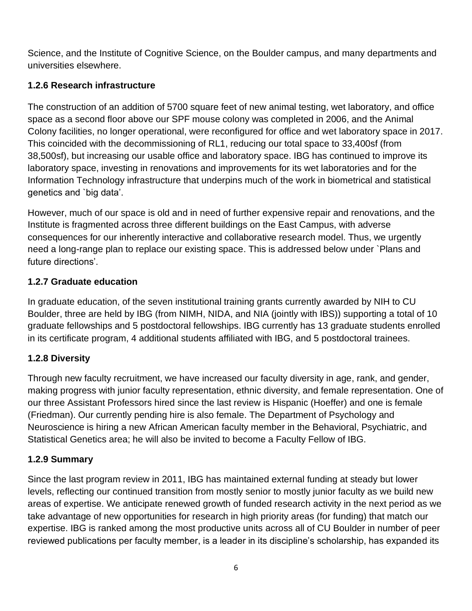Science, and the Institute of Cognitive Science, on the Boulder campus, and many departments and universities elsewhere.

# **1.2.6 Research infrastructure**

The construction of an addition of 5700 square feet of new animal testing, wet laboratory, and office space as a second floor above our SPF mouse colony was completed in 2006, and the Animal Colony facilities, no longer operational, were reconfigured for office and wet laboratory space in 2017. This coincided with the decommissioning of RL1, reducing our total space to 33,400sf (from 38,500sf), but increasing our usable office and laboratory space. IBG has continued to improve its laboratory space, investing in renovations and improvements for its wet laboratories and for the Information Technology infrastructure that underpins much of the work in biometrical and statistical genetics and `big data'.

However, much of our space is old and in need of further expensive repair and renovations, and the Institute is fragmented across three different buildings on the East Campus, with adverse consequences for our inherently interactive and collaborative research model. Thus, we urgently need a long-range plan to replace our existing space. This is addressed below under `Plans and future directions'.

# **1.2.7 Graduate education**

In graduate education, of the seven institutional training grants currently awarded by NIH to CU Boulder, three are held by IBG (from NIMH, NIDA, and NIA (jointly with IBS)) supporting a total of 10 graduate fellowships and 5 postdoctoral fellowships. IBG currently has 13 graduate students enrolled in its certificate program, 4 additional students affiliated with IBG, and 5 postdoctoral trainees.

## **1.2.8 Diversity**

Through new faculty recruitment, we have increased our faculty diversity in age, rank, and gender, making progress with junior faculty representation, ethnic diversity, and female representation. One of our three Assistant Professors hired since the last review is Hispanic (Hoeffer) and one is female (Friedman). Our currently pending hire is also female. The Department of Psychology and Neuroscience is hiring a new African American faculty member in the Behavioral, Psychiatric, and Statistical Genetics area; he will also be invited to become a Faculty Fellow of IBG.

## **1.2.9 Summary**

Since the last program review in 2011, IBG has maintained external funding at steady but lower levels, reflecting our continued transition from mostly senior to mostly junior faculty as we build new areas of expertise. We anticipate renewed growth of funded research activity in the next period as we take advantage of new opportunities for research in high priority areas (for funding) that match our expertise. IBG is ranked among the most productive units across all of CU Boulder in number of peer reviewed publications per faculty member, is a leader in its discipline's scholarship, has expanded its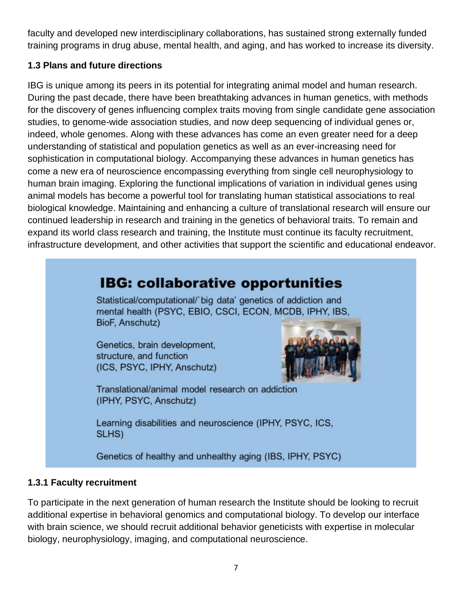faculty and developed new interdisciplinary collaborations, has sustained strong externally funded training programs in drug abuse, mental health, and aging, and has worked to increase its diversity.

## **1.3 Plans and future directions**

IBG is unique among its peers in its potential for integrating animal model and human research. During the past decade, there have been breathtaking advances in human genetics, with methods for the discovery of genes influencing complex traits moving from single candidate gene association studies, to genome-wide association studies, and now deep sequencing of individual genes or, indeed, whole genomes. Along with these advances has come an even greater need for a deep understanding of statistical and population genetics as well as an ever-increasing need for sophistication in computational biology. Accompanying these advances in human genetics has come a new era of neuroscience encompassing everything from single cell neurophysiology to human brain imaging. Exploring the functional implications of variation in individual genes using animal models has become a powerful tool for translating human statistical associations to real biological knowledge. Maintaining and enhancing a culture of translational research will ensure our continued leadership in research and training in the genetics of behavioral traits. To remain and expand its world class research and training, the Institute must continue its faculty recruitment, infrastructure development, and other activities that support the scientific and educational endeavor.

# **IBG: collaborative opportunities**

Statistical/computational/'big data' genetics of addiction and mental health (PSYC, EBIO, CSCI, ECON, MCDB, IPHY, IBS, BioF, Anschutz)

Genetics, brain development, structure, and function (ICS, PSYC, IPHY, Anschutz)



Translational/animal model research on addiction (IPHY, PSYC, Anschutz)

Learning disabilities and neuroscience (IPHY, PSYC, ICS, SLHS)

Genetics of healthy and unhealthy aging (IBS, IPHY, PSYC)

## **1.3.1 Faculty recruitment**

To participate in the next generation of human research the Institute should be looking to recruit additional expertise in behavioral genomics and computational biology. To develop our interface with brain science, we should recruit additional behavior geneticists with expertise in molecular biology, neurophysiology, imaging, and computational neuroscience.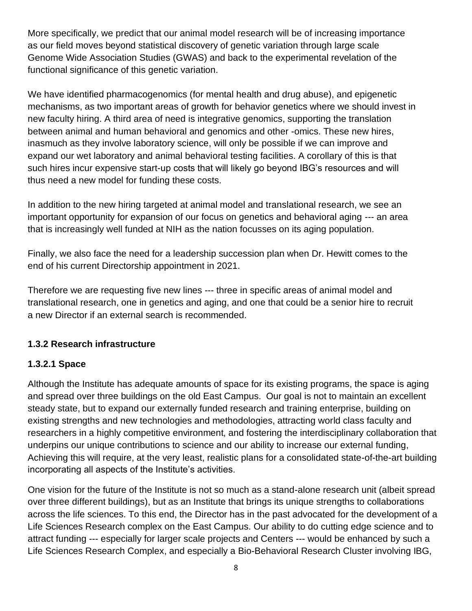More specifically, we predict that our animal model research will be of increasing importance as our field moves beyond statistical discovery of genetic variation through large scale Genome Wide Association Studies (GWAS) and back to the experimental revelation of the functional significance of this genetic variation.

We have identified pharmacogenomics (for mental health and drug abuse), and epigenetic mechanisms, as two important areas of growth for behavior genetics where we should invest in new faculty hiring. A third area of need is integrative genomics, supporting the translation between animal and human behavioral and genomics and other -omics. These new hires, inasmuch as they involve laboratory science, will only be possible if we can improve and expand our wet laboratory and animal behavioral testing facilities. A corollary of this is that such hires incur expensive start-up costs that will likely go beyond IBG's resources and will thus need a new model for funding these costs.

In addition to the new hiring targeted at animal model and translational research, we see an important opportunity for expansion of our focus on genetics and behavioral aging --- an area that is increasingly well funded at NIH as the nation focusses on its aging population.

Finally, we also face the need for a leadership succession plan when Dr. Hewitt comes to the end of his current Directorship appointment in 2021.

Therefore we are requesting five new lines --- three in specific areas of animal model and translational research, one in genetics and aging, and one that could be a senior hire to recruit a new Director if an external search is recommended.

## **1.3.2 Research infrastructure**

## **1.3.2.1 Space**

Although the Institute has adequate amounts of space for its existing programs, the space is aging and spread over three buildings on the old East Campus. Our goal is not to maintain an excellent steady state, but to expand our externally funded research and training enterprise, building on existing strengths and new technologies and methodologies, attracting world class faculty and researchers in a highly competitive environment, and fostering the interdisciplinary collaboration that underpins our unique contributions to science and our ability to increase our external funding, Achieving this will require, at the very least, realistic plans for a consolidated state-of-the-art building incorporating all aspects of the Institute's activities.

One vision for the future of the Institute is not so much as a stand-alone research unit (albeit spread over three different buildings), but as an Institute that brings its unique strengths to collaborations across the life sciences. To this end, the Director has in the past advocated for the development of a Life Sciences Research complex on the East Campus. Our ability to do cutting edge science and to attract funding --- especially for larger scale projects and Centers --- would be enhanced by such a Life Sciences Research Complex, and especially a Bio-Behavioral Research Cluster involving IBG,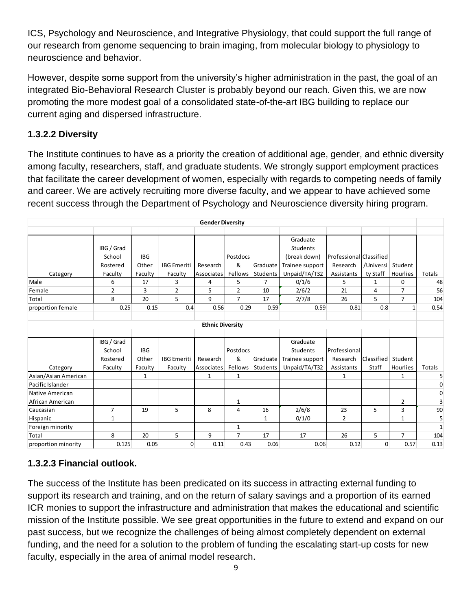ICS, Psychology and Neuroscience, and Integrative Physiology, that could support the full range of our research from genome sequencing to brain imaging, from molecular biology to physiology to neuroscience and behavior.

However, despite some support from the university's higher administration in the past, the goal of an integrated Bio-Behavioral Research Cluster is probably beyond our reach. Given this, we are now promoting the more modest goal of a consolidated state-of-the-art IBG building to replace our current aging and dispersed infrastructure.

# **1.3.2.2 Diversity**

The Institute continues to have as a priority the creation of additional age, gender, and ethnic diversity among faculty, researchers, staff, and graduate students. We strongly support employment practices that facilitate the career development of women, especially with regards to competing needs of family and career. We are actively recruiting more diverse faculty, and we appear to have achieved some recent success through the Department of Psychology and Neuroscience diversity hiring program.

| <b>Gender Diversity</b> |            |            |                    |                         |                |                |                 |                         |              |                |              |
|-------------------------|------------|------------|--------------------|-------------------------|----------------|----------------|-----------------|-------------------------|--------------|----------------|--------------|
|                         |            |            |                    |                         |                |                |                 |                         |              |                |              |
|                         |            |            |                    |                         |                |                | Graduate        |                         |              |                |              |
|                         | IBG / Grad |            |                    |                         |                |                | Students        |                         |              |                |              |
|                         | School     | <b>IBG</b> |                    |                         | Postdocs       |                | (break down)    | Professional Classified |              |                |              |
|                         | Rostered   | Other      | <b>IBG</b> Emeriti | Research                | &              | Graduate       | Trainee support | Research                | /Universi    | Student        |              |
| Category                | Faculty    | Faculty    | Faculty            | Associates              | Fellows        | Students       | Unpaid/TA/T32   | Assistants              | ty Staff     | Hourlies       | Totals       |
| Male                    | 6          | 17         | 3                  | 4                       | 5              | $\overline{7}$ | 0/1/6           | 5                       | $\mathbf{1}$ | 0              | 48           |
| Female                  | 2          | 3          | $\overline{2}$     | 5                       | $\overline{2}$ | 10             | 2/6/2           | 21                      | 4            | $\overline{7}$ | 56           |
| Total                   | 8          | 20         | 5                  | 9                       | $\overline{7}$ | 17             | 2/7/8           | 26                      | 5            | $\overline{7}$ | 104          |
| proportion female       | 0.25       | 0.15       | 0.4                | 0.56                    | 0.29           | 0.59           | 0.59            | 0.81                    | 0.8          | 1              | 0.54         |
|                         |            |            |                    |                         |                |                |                 |                         |              |                |              |
|                         |            |            |                    | <b>Ethnic Diversity</b> |                |                |                 |                         |              |                |              |
|                         |            |            |                    |                         |                |                |                 |                         |              |                |              |
|                         | IBG / Grad |            |                    |                         |                |                | Graduate        |                         |              |                |              |
|                         | School     | <b>IBG</b> |                    |                         | Postdocs       |                | Students        | Professional            |              |                |              |
|                         | Rostered   | Other      | <b>IBG</b> Emeriti | Research                | &              | Graduate       | Trainee support | Research                | Classified   | Student        |              |
| Category                | Faculty    | Faculty    | Faculty            | Associates              | Fellows        | Students       | Unpaid/TA/T32   | Assistants              | Staff        | Hourlies       | Totals       |
| Asian/Asian American    |            | 1          |                    | 1                       | $\mathbf{1}$   |                |                 | 1                       |              | $\mathbf{1}$   | 5            |
| Pacific Islander        |            |            |                    |                         |                |                |                 |                         |              |                | 0            |
| Native American         |            |            |                    |                         |                |                |                 |                         |              |                | 0            |
| African American        |            |            |                    |                         | $\mathbf{1}$   |                |                 |                         |              | $\overline{2}$ | 3            |
| Caucasian               | 7          | 19         | 5                  | 8                       | 4              | 16             | 2/6/8           | 23                      | 5            | 3              | 90           |
| Hispanic                | 1          |            |                    |                         |                | $\mathbf{1}$   | 0/1/0           | $\overline{2}$          |              | $\mathbf{1}$   | 5            |
| Foreign minority        |            |            |                    |                         | 1              |                |                 |                         |              |                | $\mathbf{1}$ |
| <b>Total</b>            | 8          | 20         | 5                  | 9                       | $\overline{7}$ | 17             | 17              | 26                      | 5            | $\overline{7}$ | 104          |
| proportion minority     | 0.125      | 0.05       | $\mathbf{0}$       | 0.11                    | 0.43           | 0.06           | 0.06            | 0.12                    | $\Omega$     | 0.57           | 0.13         |

# **1.3.2.3 Financial outlook.**

The success of the Institute has been predicated on its success in attracting external funding to support its research and training, and on the return of salary savings and a proportion of its earned ICR monies to support the infrastructure and administration that makes the educational and scientific mission of the Institute possible. We see great opportunities in the future to extend and expand on our past success, but we recognize the challenges of being almost completely dependent on external funding, and the need for a solution to the problem of funding the escalating start-up costs for new faculty, especially in the area of animal model research.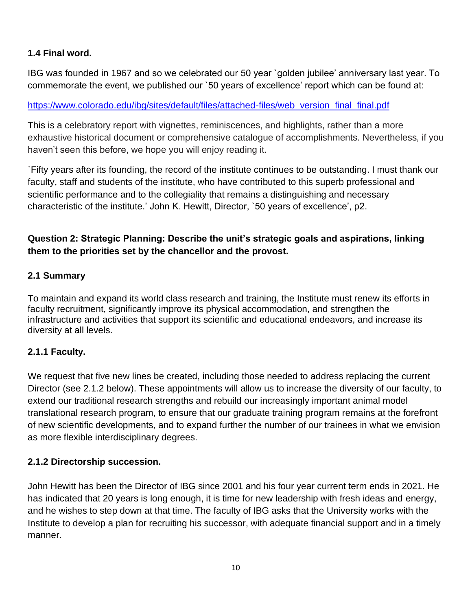## **1.4 Final word.**

IBG was founded in 1967 and so we celebrated our 50 year `golden jubilee' anniversary last year. To commemorate the event, we published our `50 years of excellence' report which can be found at:

## [https://www.colorado.edu/ibg/sites/default/files/attached-files/web\\_version\\_final\\_final.pdf](https://www.colorado.edu/ibg/sites/default/files/attached-files/web_version_final_final.pdf)

This is a celebratory report with vignettes, reminiscences, and highlights, rather than a more exhaustive historical document or comprehensive catalogue of accomplishments. Nevertheless, if you haven't seen this before, we hope you will enjoy reading it.

`Fifty years after its founding, the record of the institute continues to be outstanding. I must thank our faculty, staff and students of the institute, who have contributed to this superb professional and scientific performance and to the collegiality that remains a distinguishing and necessary characteristic of the institute.' John K. Hewitt, Director, `50 years of excellence', p2.

## **Question 2: Strategic Planning: Describe the unit's strategic goals and aspirations, linking them to the priorities set by the chancellor and the provost.**

## **2.1 Summary**

To maintain and expand its world class research and training, the Institute must renew its efforts in faculty recruitment, significantly improve its physical accommodation, and strengthen the infrastructure and activities that support its scientific and educational endeavors, and increase its diversity at all levels.

## **2.1.1 Faculty.**

We request that five new lines be created, including those needed to address replacing the current Director (see 2.1.2 below). These appointments will allow us to increase the diversity of our faculty, to extend our traditional research strengths and rebuild our increasingly important animal model translational research program, to ensure that our graduate training program remains at the forefront of new scientific developments, and to expand further the number of our trainees in what we envision as more flexible interdisciplinary degrees.

## **2.1.2 Directorship succession.**

John Hewitt has been the Director of IBG since 2001 and his four year current term ends in 2021. He has indicated that 20 years is long enough, it is time for new leadership with fresh ideas and energy, and he wishes to step down at that time. The faculty of IBG asks that the University works with the Institute to develop a plan for recruiting his successor, with adequate financial support and in a timely manner.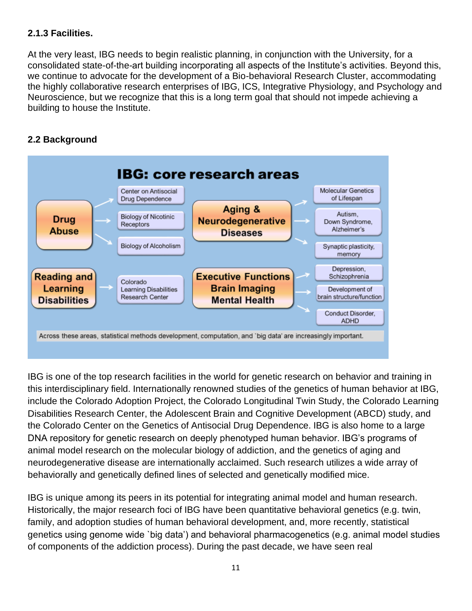## **2.1.3 Facilities.**

At the very least, IBG needs to begin realistic planning, in conjunction with the University, for a consolidated state-of-the-art building incorporating all aspects of the Institute's activities. Beyond this, we continue to advocate for the development of a Bio-behavioral Research Cluster, accommodating the highly collaborative research enterprises of IBG, ICS, Integrative Physiology, and Psychology and Neuroscience, but we recognize that this is a long term goal that should not impede achieving a building to house the Institute.

## **2.2 Background**



IBG is one of the top research facilities in the world for genetic research on behavior and training in this interdisciplinary field. Internationally renowned studies of the genetics of human behavior at IBG, include the [Colorado Adoption Project,](http://ibgwww.colorado.edu/research/cap.html) the Colorado Longitudinal Twin Study, the [Colorado Learning](http://ibgwww.colorado.edu/research/cldrc.html)  [Disabilities Research Center,](http://ibgwww.colorado.edu/research/cldrc.html) the Adolescent Brain and Cognitive Development (ABCD) study, and the Colorado Center on the Genetics of Antisocial Drug Dependence. IBG is also home to a large DNA repository for genetic research on deeply phenotyped human behavior. IBG's programs of animal model research on the molecular biology of addiction, and the genetics of aging and neurodegenerative disease are internationally acclaimed. Such research utilizes a wide array of behaviorally and genetically defined lines of selected and genetically modified mice.

IBG is unique among its peers in its potential for integrating animal model and human research. Historically, the major research foci of IBG have been quantitative behavioral genetics (e.g. twin, family, and adoption studies of human behavioral development, and, more recently, statistical genetics using genome wide `big data') and behavioral pharmacogenetics (e.g. animal model studies of components of the addiction process). During the past decade, we have seen real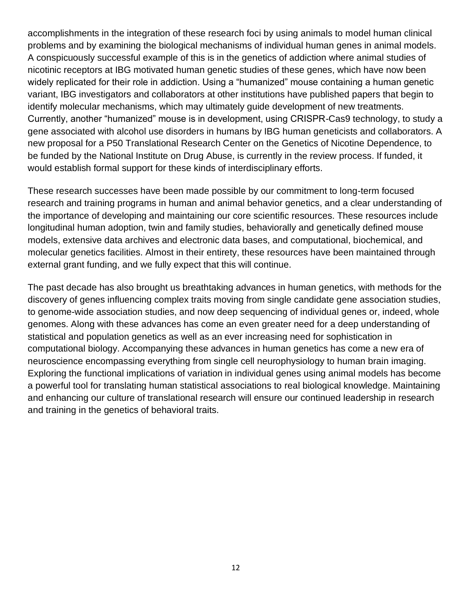accomplishments in the integration of these research foci by using animals to model human clinical problems and by examining the biological mechanisms of individual human genes in animal models. A conspicuously successful example of this is in the genetics of addiction where animal studies of nicotinic receptors at IBG motivated human genetic studies of these genes, which have now been widely replicated for their role in addiction. Using a "humanized" mouse containing a human genetic variant, IBG investigators and collaborators at other institutions have published papers that begin to identify molecular mechanisms, which may ultimately guide development of new treatments. Currently, another "humanized" mouse is in development, using CRISPR-Cas9 technology, to study a gene associated with alcohol use disorders in humans by IBG human geneticists and collaborators. A new proposal for a P50 Translational Research Center on the Genetics of Nicotine Dependence, to be funded by the National Institute on Drug Abuse, is currently in the review process. If funded, it would establish formal support for these kinds of interdisciplinary efforts.

These research successes have been made possible by our commitment to long-term focused research and training programs in human and animal behavior genetics, and a clear understanding of the importance of developing and maintaining our core scientific resources. These resources include longitudinal human adoption, twin and family studies, behaviorally and genetically defined mouse models, extensive data archives and electronic data bases, and computational, biochemical, and molecular genetics facilities. Almost in their entirety, these resources have been maintained through external grant funding, and we fully expect that this will continue.

The past decade has also brought us breathtaking advances in human genetics, with methods for the discovery of genes influencing complex traits moving from single candidate gene association studies, to genome-wide association studies, and now deep sequencing of individual genes or, indeed, whole genomes. Along with these advances has come an even greater need for a deep understanding of statistical and population genetics as well as an ever increasing need for sophistication in computational biology. Accompanying these advances in human genetics has come a new era of neuroscience encompassing everything from single cell neurophysiology to human brain imaging. Exploring the functional implications of variation in individual genes using animal models has become a powerful tool for translating human statistical associations to real biological knowledge. Maintaining and enhancing our culture of translational research will ensure our continued leadership in research and training in the genetics of behavioral traits.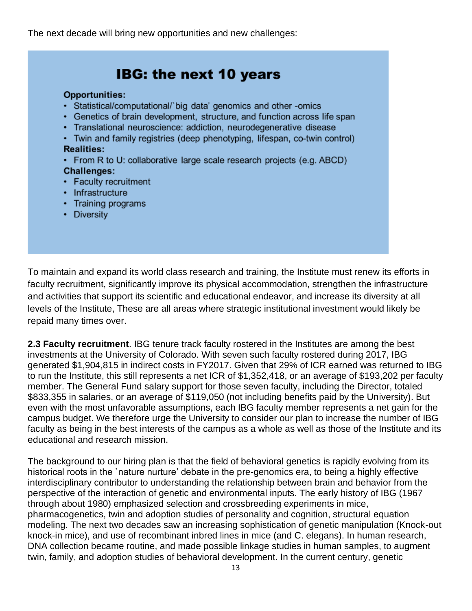The next decade will bring new opportunities and new challenges:

| <b>Opportunities:</b><br>• Statistical/computational/`big data' genomics and other -omics<br>• Genetics of brain development, structure, and function across life span<br>• Translational neuroscience: addiction, neurodegenerative disease |
|----------------------------------------------------------------------------------------------------------------------------------------------------------------------------------------------------------------------------------------------|
| • Twin and family registries (deep phenotyping, lifespan, co-twin control)<br><b>Realities:</b><br>• From R to U: collaborative large scale research projects (e.g. ABCD)                                                                    |
| <b>Challenges:</b><br>• Faculty recruitment                                                                                                                                                                                                  |
| • Infrastructure<br>• Training programs<br>• Diversity                                                                                                                                                                                       |

To maintain and expand its world class research and training, the Institute must renew its efforts in faculty recruitment, significantly improve its physical accommodation, strengthen the infrastructure and activities that support its scientific and educational endeavor, and increase its diversity at all levels of the Institute, These are all areas where strategic institutional investment would likely be repaid many times over.

**2.3 Faculty recruitment**. IBG tenure track faculty rostered in the Institutes are among the best investments at the University of Colorado. With seven such faculty rostered during 2017, IBG generated \$1,904,815 in indirect costs in FY2017. Given that 29% of ICR earned was returned to IBG to run the Institute, this still represents a net ICR of \$1,352,418, or an average of \$193,202 per faculty member. The General Fund salary support for those seven faculty, including the Director, totaled \$833,355 in salaries, or an average of \$119,050 (not including benefits paid by the University). But even with the most unfavorable assumptions, each IBG faculty member represents a net gain for the campus budget. We therefore urge the University to consider our plan to increase the number of IBG faculty as being in the best interests of the campus as a whole as well as those of the Institute and its educational and research mission.

The background to our hiring plan is that the field of behavioral genetics is rapidly evolving from its historical roots in the `nature nurture' debate in the pre-genomics era, to being a highly effective interdisciplinary contributor to understanding the relationship between brain and behavior from the perspective of the interaction of genetic and environmental inputs. The early history of IBG (1967 through about 1980) emphasized selection and crossbreeding experiments in mice, pharmacogenetics, twin and adoption studies of personality and cognition, structural equation modeling. The next two decades saw an increasing sophistication of genetic manipulation (Knock-out knock-in mice), and use of recombinant inbred lines in mice (and C. elegans). In human research, DNA collection became routine, and made possible linkage studies in human samples, to augment twin, family, and adoption studies of behavioral development. In the current century, genetic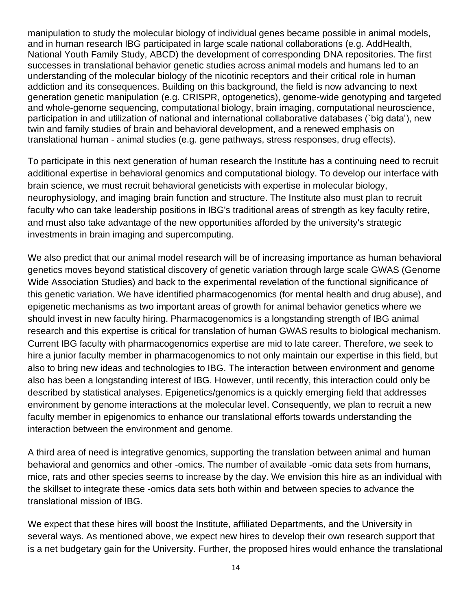manipulation to study the molecular biology of individual genes became possible in animal models, and in human research IBG participated in large scale national collaborations (e.g. AddHealth, National Youth Family Study, ABCD) the development of corresponding DNA repositories. The first successes in translational behavior genetic studies across animal models and humans led to an understanding of the molecular biology of the nicotinic receptors and their critical role in human addiction and its consequences. Building on this background, the field is now advancing to next generation genetic manipulation (e.g. CRISPR, optogenetics), genome-wide genotyping and targeted and whole-genome sequencing, computational biology, brain imaging, computational neuroscience, participation in and utilization of national and international collaborative databases (`big data'), new twin and family studies of brain and behavioral development, and a renewed emphasis on translational human - animal studies (e.g. gene pathways, stress responses, drug effects).

To participate in this next generation of human research the Institute has a continuing need to recruit additional expertise in behavioral genomics and computational biology. To develop our interface with brain science, we must recruit behavioral geneticists with expertise in molecular biology, neurophysiology, and imaging brain function and structure. The Institute also must plan to recruit faculty who can take leadership positions in IBG's traditional areas of strength as key faculty retire, and must also take advantage of the new opportunities afforded by the university's strategic investments in brain imaging and supercomputing.

We also predict that our animal model research will be of increasing importance as human behavioral genetics moves beyond statistical discovery of genetic variation through large scale GWAS (Genome Wide Association Studies) and back to the experimental revelation of the functional significance of this genetic variation. We have identified pharmacogenomics (for mental health and drug abuse), and epigenetic mechanisms as two important areas of growth for animal behavior genetics where we should invest in new faculty hiring. Pharmacogenomics is a longstanding strength of IBG animal research and this expertise is critical for translation of human GWAS results to biological mechanism. Current IBG faculty with pharmacogenomics expertise are mid to late career. Therefore, we seek to hire a junior faculty member in pharmacogenomics to not only maintain our expertise in this field, but also to bring new ideas and technologies to IBG. The interaction between environment and genome also has been a longstanding interest of IBG. However, until recently, this interaction could only be described by statistical analyses. Epigenetics/genomics is a quickly emerging field that addresses environment by genome interactions at the molecular level. Consequently, we plan to recruit a new faculty member in epigenomics to enhance our translational efforts towards understanding the interaction between the environment and genome.

A third area of need is integrative genomics, supporting the translation between animal and human behavioral and genomics and other -omics. The number of available -omic data sets from humans, mice, rats and other species seems to increase by the day. We envision this hire as an individual with the skillset to integrate these -omics data sets both within and between species to advance the translational mission of IBG.

We expect that these hires will boost the Institute, affiliated Departments, and the University in several ways. As mentioned above, we expect new hires to develop their own research support that is a net budgetary gain for the University. Further, the proposed hires would enhance the translational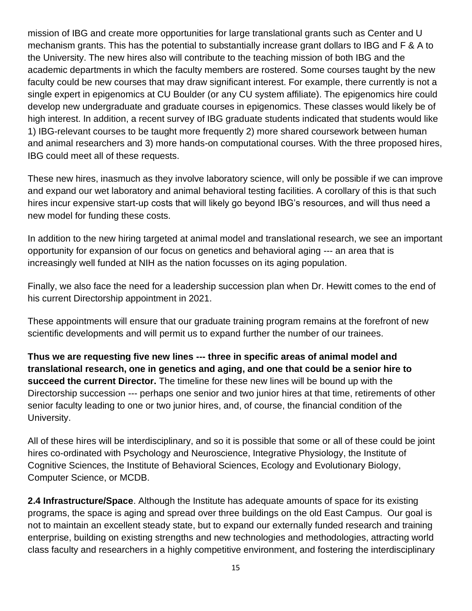mission of IBG and create more opportunities for large translational grants such as Center and U mechanism grants. This has the potential to substantially increase grant dollars to IBG and F & A to the University. The new hires also will contribute to the teaching mission of both IBG and the academic departments in which the faculty members are rostered. Some courses taught by the new faculty could be new courses that may draw significant interest. For example, there currently is not a single expert in epigenomics at CU Boulder (or any CU system affiliate). The epigenomics hire could develop new undergraduate and graduate courses in epigenomics. These classes would likely be of high interest. In addition, a recent survey of IBG graduate students indicated that students would like 1) IBG-relevant courses to be taught more frequently 2) more shared coursework between human and animal researchers and 3) more hands-on computational courses. With the three proposed hires, IBG could meet all of these requests.

These new hires, inasmuch as they involve laboratory science, will only be possible if we can improve and expand our wet laboratory and animal behavioral testing facilities. A corollary of this is that such hires incur expensive start-up costs that will likely go beyond IBG's resources, and will thus need a new model for funding these costs.

In addition to the new hiring targeted at animal model and translational research, we see an important opportunity for expansion of our focus on genetics and behavioral aging --- an area that is increasingly well funded at NIH as the nation focusses on its aging population.

Finally, we also face the need for a leadership succession plan when Dr. Hewitt comes to the end of his current Directorship appointment in 2021.

These appointments will ensure that our graduate training program remains at the forefront of new scientific developments and will permit us to expand further the number of our trainees.

**Thus we are requesting five new lines --- three in specific areas of animal model and translational research, one in genetics and aging, and one that could be a senior hire to succeed the current Director.** The timeline for these new lines will be bound up with the Directorship succession --- perhaps one senior and two junior hires at that time, retirements of other senior faculty leading to one or two junior hires, and, of course, the financial condition of the University.

All of these hires will be interdisciplinary, and so it is possible that some or all of these could be joint hires co-ordinated with Psychology and Neuroscience, Integrative Physiology, the Institute of Cognitive Sciences, the Institute of Behavioral Sciences, Ecology and Evolutionary Biology, Computer Science, or MCDB.

**2.4 Infrastructure/Space**. Although the Institute has adequate amounts of space for its existing programs, the space is aging and spread over three buildings on the old East Campus. Our goal is not to maintain an excellent steady state, but to expand our externally funded research and training enterprise, building on existing strengths and new technologies and methodologies, attracting world class faculty and researchers in a highly competitive environment, and fostering the interdisciplinary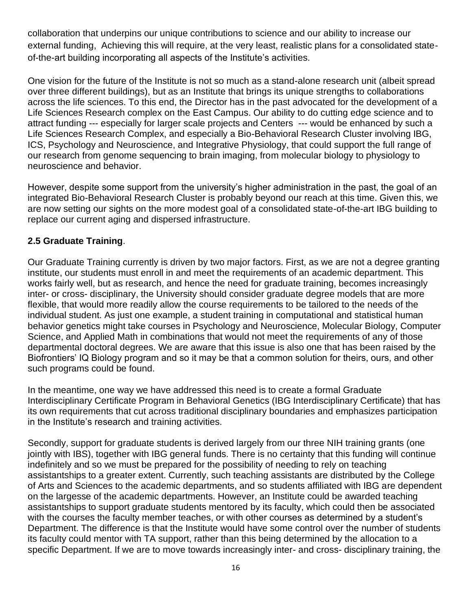collaboration that underpins our unique contributions to science and our ability to increase our external funding, Achieving this will require, at the very least, realistic plans for a consolidated stateof-the-art building incorporating all aspects of the Institute's activities.

One vision for the future of the Institute is not so much as a stand-alone research unit (albeit spread over three different buildings), but as an Institute that brings its unique strengths to collaborations across the life sciences. To this end, the Director has in the past advocated for the development of a Life Sciences Research complex on the East Campus. Our ability to do cutting edge science and to attract funding --- especially for larger scale projects and Centers --- would be enhanced by such a Life Sciences Research Complex, and especially a Bio-Behavioral Research Cluster involving IBG, ICS, Psychology and Neuroscience, and Integrative Physiology, that could support the full range of our research from genome sequencing to brain imaging, from molecular biology to physiology to neuroscience and behavior.

However, despite some support from the university's higher administration in the past, the goal of an integrated Bio-Behavioral Research Cluster is probably beyond our reach at this time. Given this, we are now setting our sights on the more modest goal of a consolidated state-of-the-art IBG building to replace our current aging and dispersed infrastructure.

## **2.5 Graduate Training**.

Our Graduate Training currently is driven by two major factors. First, as we are not a degree granting institute, our students must enroll in and meet the requirements of an academic department. This works fairly well, but as research, and hence the need for graduate training, becomes increasingly inter- or cross- disciplinary, the University should consider graduate degree models that are more flexible, that would more readily allow the course requirements to be tailored to the needs of the individual student. As just one example, a student training in computational and statistical human behavior genetics might take courses in Psychology and Neuroscience, Molecular Biology, Computer Science, and Applied Math in combinations that would not meet the requirements of any of those departmental doctoral degrees. We are aware that this issue is also one that has been raised by the Biofrontiers' IQ Biology program and so it may be that a common solution for theirs, ours, and other such programs could be found.

In the meantime, one way we have addressed this need is to create a formal Graduate Interdisciplinary Certificate Program in Behavioral Genetics (IBG Interdisciplinary Certificate) that has its own requirements that cut across traditional disciplinary boundaries and emphasizes participation in the Institute's research and training activities.

Secondly, support for graduate students is derived largely from our three NIH training grants (one jointly with IBS), together with IBG general funds. There is no certainty that this funding will continue indefinitely and so we must be prepared for the possibility of needing to rely on teaching assistantships to a greater extent. Currently, such teaching assistants are distributed by the College of Arts and Sciences to the academic departments, and so students affiliated with IBG are dependent on the largesse of the academic departments. However, an Institute could be awarded teaching assistantships to support graduate students mentored by its faculty, which could then be associated with the courses the faculty member teaches, or with other courses as determined by a student's Department. The difference is that the Institute would have some control over the number of students its faculty could mentor with TA support, rather than this being determined by the allocation to a specific Department. If we are to move towards increasingly inter- and cross- disciplinary training, the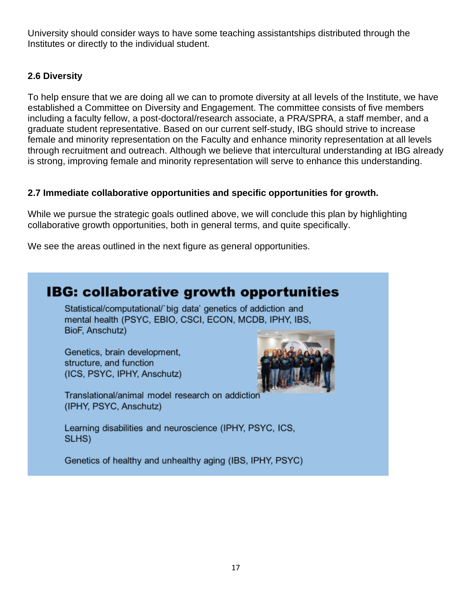University should consider ways to have some teaching assistantships distributed through the Institutes or directly to the individual student.

## **2.6 Diversity**

To help ensure that we are doing all we can to promote diversity at all levels of the Institute, we have established a Committee on Diversity and Engagement. The committee consists of five members including a faculty fellow, a post-doctoral/research associate, a PRA/SPRA, a staff member, and a graduate student representative. Based on our current self-study, IBG should strive to increase female and minority representation on the Faculty and enhance minority representation at all levels through recruitment and outreach. Although we believe that intercultural understanding at IBG already is strong, improving female and minority representation will serve to enhance this understanding.

## **2.7 Immediate collaborative opportunities and specific opportunities for growth.**

While we pursue the strategic goals outlined above, we will conclude this plan by highlighting collaborative growth opportunities, both in general terms, and quite specifically.

We see the areas outlined in the next figure as general opportunities.

# **IBG: collaborative growth opportunities**

Statistical/computational/`big\_data' genetics of addiction and mental health (PSYC, EBIO, CSCI, ECON, MCDB, IPHY, IBS, BioF, Anschutz)

Genetics, brain development, structure, and function (ICS, PSYC, IPHY, Anschutz)



Translational/animal model research on addiction (IPHY, PSYC, Anschutz)

Learning disabilities and neuroscience (IPHY, PSYC, ICS, SLHS)

Genetics of healthy and unhealthy aging (IBS, IPHY, PSYC)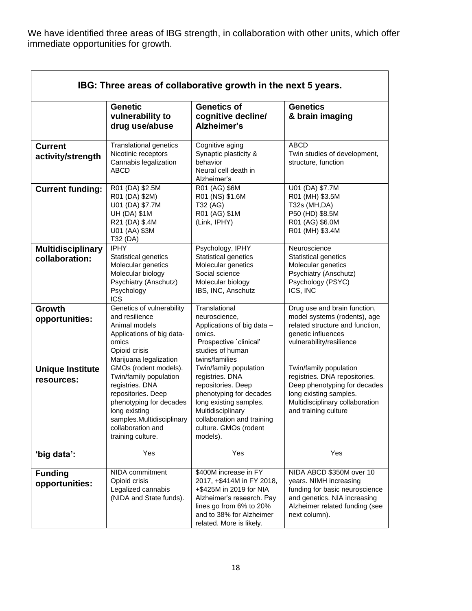We have identified three areas of IBG strength, in collaboration with other units, which offer immediate opportunities for growth.

| IBG: Three areas of collaborative growth in the next 5 years. |                                                                                                                                                                                                             |                                                                                                                                                                                                              |                                                                                                                                                                              |  |  |  |  |  |  |
|---------------------------------------------------------------|-------------------------------------------------------------------------------------------------------------------------------------------------------------------------------------------------------------|--------------------------------------------------------------------------------------------------------------------------------------------------------------------------------------------------------------|------------------------------------------------------------------------------------------------------------------------------------------------------------------------------|--|--|--|--|--|--|
|                                                               | <b>Genetic</b><br>vulnerability to<br>drug use/abuse                                                                                                                                                        | <b>Genetics of</b><br>cognitive decline/<br>Alzheimer's                                                                                                                                                      | <b>Genetics</b><br>& brain imaging                                                                                                                                           |  |  |  |  |  |  |
| <b>Current</b><br>activity/strength                           | <b>Translational genetics</b><br>Nicotinic receptors<br>Cannabis legalization<br><b>ABCD</b>                                                                                                                | Cognitive aging<br>Synaptic plasticity &<br>behavior<br>Neural cell death in<br>Alzheimer's                                                                                                                  | <b>ABCD</b><br>Twin studies of development,<br>structure, function                                                                                                           |  |  |  |  |  |  |
| <b>Current funding:</b>                                       | R01 (DA) \$2.5M<br>R01 (DA) \$2M)<br>U01 (DA) \$7.7M<br><b>UH (DA) \$1M</b><br>R21 (DA) \$.4M<br>U01 (AA) \$3M<br>T32 (DA)                                                                                  | R01 (AG) \$6M<br>R01 (NS) \$1.6M<br>T32 (AG)<br>R01 (AG) \$1M<br>(Link, IPHY)                                                                                                                                | U01 (DA) \$7.7M<br>R01 (MH) \$3.5M<br>T32s (MH, DA)<br>P50 (HD) \$8.5M<br>R01 (AG) \$6.0M<br>R01 (MH) \$3.4M                                                                 |  |  |  |  |  |  |
| <b>Multidisciplinary</b><br>collaboration:                    | <b>IPHY</b><br>Statistical genetics<br>Molecular genetics<br>Molecular biology<br>Psychiatry (Anschutz)<br>Psychology<br><b>ICS</b>                                                                         | Psychology, IPHY<br>Statistical genetics<br>Molecular genetics<br>Social science<br>Molecular biology<br>IBS, INC, Anschutz                                                                                  | Neuroscience<br>Statistical genetics<br>Molecular genetics<br>Psychiatry (Anschutz)<br>Psychology (PSYC)<br>ICS, INC                                                         |  |  |  |  |  |  |
| Growth<br>opportunities:                                      | Genetics of vulnerability<br>and resilience<br>Animal models<br>Applications of big data-<br>omics<br>Opioid crisis<br>Marijuana legalization                                                               | Translational<br>neuroscience,<br>Applications of big data -<br>omics.<br>Prospective 'clinical'<br>studies of human<br>twins/families                                                                       | Drug use and brain function,<br>model systems (rodents), age<br>related structure and function,<br>genetic influences<br>vulnerability/resilience                            |  |  |  |  |  |  |
| <b>Unique Institute</b><br>resources:                         | GMOs (rodent models).<br>Twin/family population<br>registries. DNA<br>repositories. Deep<br>phenotyping for decades<br>long existing<br>samples.Multidisciplinary<br>collaboration and<br>training culture. | Twin/family population<br>registries. DNA<br>repositories. Deep<br>phenotyping for decades<br>long existing samples.<br>Multidisciplinary<br>collaboration and training<br>culture. GMOs (rodent<br>models). | Twin/family population<br>registries. DNA repositories.<br>Deep phenotyping for decades<br>long existing samples.<br>Multidisciplinary collaboration<br>and training culture |  |  |  |  |  |  |
| 'big data':                                                   | Yes                                                                                                                                                                                                         | Yes                                                                                                                                                                                                          | Yes                                                                                                                                                                          |  |  |  |  |  |  |
| <b>Funding</b><br>opportunities:                              | NIDA commitment<br>Opioid crisis<br>Legalized cannabis<br>(NIDA and State funds).                                                                                                                           | \$400M increase in FY<br>2017, +\$414M in FY 2018,<br>+\$425M in 2019 for NIA<br>Alzheimer's research. Pay<br>lines go from 6% to 20%<br>and to 38% for Alzheimer<br>related. More is likely.                | NIDA ABCD \$350M over 10<br>years. NIMH increasing<br>funding for basic neuroscience<br>and genetics. NIA increasing<br>Alzheimer related funding (see<br>next column).      |  |  |  |  |  |  |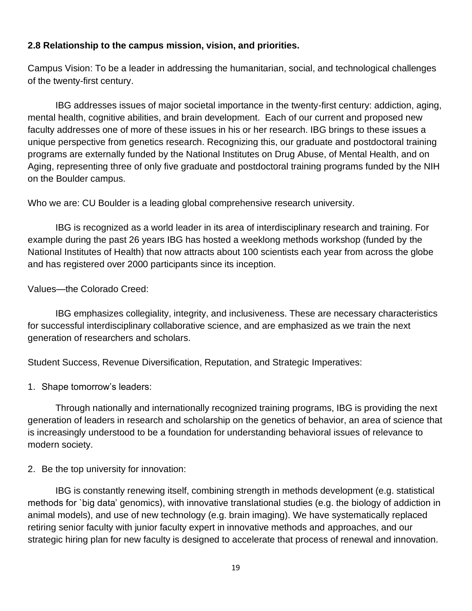#### **2.8 Relationship to the campus mission, vision, and priorities.**

Campus Vision: To be a leader in addressing the humanitarian, social, and technological challenges of the twenty-first century.

IBG addresses issues of major societal importance in the twenty-first century: addiction, aging, mental health, cognitive abilities, and brain development. Each of our current and proposed new faculty addresses one of more of these issues in his or her research. IBG brings to these issues a unique perspective from genetics research. Recognizing this, our graduate and postdoctoral training programs are externally funded by the National Institutes on Drug Abuse, of Mental Health, and on Aging, representing three of only five graduate and postdoctoral training programs funded by the NIH on the Boulder campus.

Who we are: CU Boulder is a leading global comprehensive research university.

IBG is recognized as a world leader in its area of interdisciplinary research and training. For example during the past 26 years IBG has hosted a weeklong methods workshop (funded by the National Institutes of Health) that now attracts about 100 scientists each year from across the globe and has registered over 2000 participants since its inception.

#### Values—the Colorado Creed:

IBG emphasizes collegiality, integrity, and inclusiveness. These are necessary characteristics for successful interdisciplinary collaborative science, and are emphasized as we train the next generation of researchers and scholars.

Student Success, Revenue Diversification, Reputation, and Strategic Imperatives:

1. Shape tomorrow's leaders:

Through nationally and internationally recognized training programs, IBG is providing the next generation of leaders in research and scholarship on the genetics of behavior, an area of science that is increasingly understood to be a foundation for understanding behavioral issues of relevance to modern society.

2. Be the top university for innovation:

IBG is constantly renewing itself, combining strength in methods development (e.g. statistical methods for `big data' genomics), with innovative translational studies (e.g. the biology of addiction in animal models), and use of new technology (e.g. brain imaging). We have systematically replaced retiring senior faculty with junior faculty expert in innovative methods and approaches, and our strategic hiring plan for new faculty is designed to accelerate that process of renewal and innovation.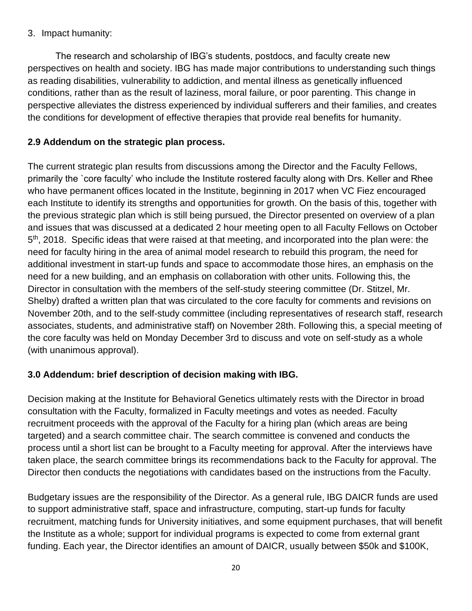## 3. Impact humanity:

The research and scholarship of IBG's students, postdocs, and faculty create new perspectives on health and society. IBG has made major contributions to understanding such things as reading disabilities, vulnerability to addiction, and mental illness as genetically influenced conditions, rather than as the result of laziness, moral failure, or poor parenting. This change in perspective alleviates the distress experienced by individual sufferers and their families, and creates the conditions for development of effective therapies that provide real benefits for humanity.

# **2.9 Addendum on the strategic plan process.**

The current strategic plan results from discussions among the Director and the Faculty Fellows, primarily the `core faculty' who include the Institute rostered faculty along with Drs. Keller and Rhee who have permanent offices located in the Institute, beginning in 2017 when VC Fiez encouraged each Institute to identify its strengths and opportunities for growth. On the basis of this, together with the previous strategic plan which is still being pursued, the Director presented on overview of a plan and issues that was discussed at a dedicated 2 hour meeting open to all Faculty Fellows on October 5<sup>th</sup>, 2018. Specific ideas that were raised at that meeting, and incorporated into the plan were: the need for faculty hiring in the area of animal model research to rebuild this program, the need for additional investment in start-up funds and space to accommodate those hires, an emphasis on the need for a new building, and an emphasis on collaboration with other units. Following this, the Director in consultation with the members of the self-study steering committee (Dr. Stitzel, Mr. Shelby) drafted a written plan that was circulated to the core faculty for comments and revisions on November 20th, and to the self-study committee (including representatives of research staff, research associates, students, and administrative staff) on November 28th. Following this, a special meeting of the core faculty was held on Monday December 3rd to discuss and vote on self-study as a whole (with unanimous approval).

## **3.0 Addendum: brief description of decision making with IBG.**

Decision making at the Institute for Behavioral Genetics ultimately rests with the Director in broad consultation with the Faculty, formalized in Faculty meetings and votes as needed. Faculty recruitment proceeds with the approval of the Faculty for a hiring plan (which areas are being targeted) and a search committee chair. The search committee is convened and conducts the process until a short list can be brought to a Faculty meeting for approval. After the interviews have taken place, the search committee brings its recommendations back to the Faculty for approval. The Director then conducts the negotiations with candidates based on the instructions from the Faculty.

Budgetary issues are the responsibility of the Director. As a general rule, IBG DAICR funds are used to support administrative staff, space and infrastructure, computing, start-up funds for faculty recruitment, matching funds for University initiatives, and some equipment purchases, that will benefit the Institute as a whole; support for individual programs is expected to come from external grant funding. Each year, the Director identifies an amount of DAICR, usually between \$50k and \$100K,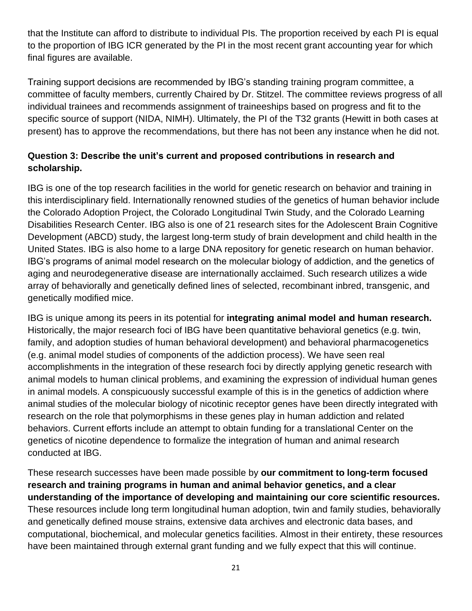that the Institute can afford to distribute to individual PIs. The proportion received by each PI is equal to the proportion of IBG ICR generated by the PI in the most recent grant accounting year for which final figures are available.

Training support decisions are recommended by IBG's standing training program committee, a committee of faculty members, currently Chaired by Dr. Stitzel. The committee reviews progress of all individual trainees and recommends assignment of traineeships based on progress and fit to the specific source of support (NIDA, NIMH). Ultimately, the PI of the T32 grants (Hewitt in both cases at present) has to approve the recommendations, but there has not been any instance when he did not.

# **Question 3: Describe the unit's current and proposed contributions in research and scholarship.**

IBG is one of the top research facilities in the world for genetic research on behavior and training in this interdisciplinary field. Internationally renowned studies of the genetics of human behavior include the Colorado Adoption Project, the Colorado Longitudinal Twin Study, and the Colorado Learning Disabilities Research Center. IBG also is one of 21 research sites for the Adolescent Brain Cognitive Development (ABCD) study, the largest long-term study of brain development and child health in the United States. IBG is also home to a large DNA repository for genetic research on human behavior. IBG's programs of animal model research on the molecular biology of addiction, and the genetics of aging and neurodegenerative disease are internationally acclaimed. Such research utilizes a wide array of behaviorally and genetically defined lines of selected, recombinant inbred, transgenic, and genetically modified mice.

IBG is unique among its peers in its potential for **integrating animal model and human research.** Historically, the major research foci of IBG have been quantitative behavioral genetics (e.g. twin, family, and adoption studies of human behavioral development) and behavioral pharmacogenetics (e.g. animal model studies of components of the addiction process). We have seen real accomplishments in the integration of these research foci by directly applying genetic research with animal models to human clinical problems, and examining the expression of individual human genes in animal models. A conspicuously successful example of this is in the genetics of addiction where animal studies of the molecular biology of nicotinic receptor genes have been directly integrated with research on the role that polymorphisms in these genes play in human addiction and related behaviors. Current efforts include an attempt to obtain funding for a translational Center on the genetics of nicotine dependence to formalize the integration of human and animal research conducted at IBG.

These research successes have been made possible by **our commitment to long-term focused research and training programs in human and animal behavior genetics, and a clear understanding of the importance of developing and maintaining our core scientific resources.**  These resources include long term longitudinal human adoption, twin and family studies, behaviorally and genetically defined mouse strains, extensive data archives and electronic data bases, and computational, biochemical, and molecular genetics facilities. Almost in their entirety, these resources have been maintained through external grant funding and we fully expect that this will continue.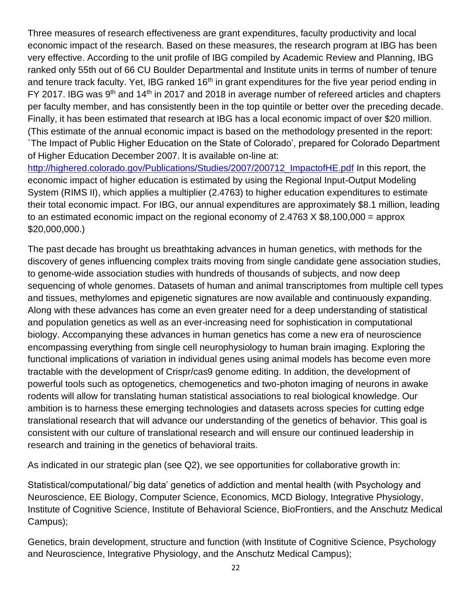Three measures of research effectiveness are grant expenditures, faculty productivity and local economic impact of the research. Based on these measures, the research program at IBG has been very effective. According to the unit profile of IBG compiled by Academic Review and Planning, IBG ranked only 55th out of 66 CU Boulder Departmental and Institute units in terms of number of tenure and tenure track faculty. Yet, IBG ranked 16<sup>th</sup> in grant expenditures for the five year period ending in FY 2017. IBG was  $9<sup>th</sup>$  and 14<sup>th</sup> in 2017 and 2018 in average number of refereed articles and chapters per faculty member, and has consistently been in the top quintile or better over the preceding decade. Finally, it has been estimated that research at IBG has a local economic impact of over \$20 million. (This estimate of the annual economic impact is based on the methodology presented in the report: `The Impact of Public Higher Education on the State of Colorado', prepared for Colorado Department of Higher Education December 2007. lt is available on-line at: http://highered.colorado.gov/Publications/Studies/2007/200712 ImpactofHE.pdf In this report, the economic impact of higher education is estimated by using the Regional Input-Output Modeling System (RIMS II), which applies a multiplier (2.4763) to higher education expenditures to estimate their total economic impact. For IBG, our annual expenditures are approximately \$8.1 million, leading

to an estimated economic impact on the regional economy of  $2.4763 \times $8,100,000 =$  approx

\$20,000,000.)

The past decade has brought us breathtaking advances in human genetics, with methods for the discovery of genes influencing complex traits moving from single candidate gene association studies, to genome-wide association studies with hundreds of thousands of subjects, and now deep sequencing of whole genomes. Datasets of human and animal transcriptomes from multiple cell types and tissues, methylomes and epigenetic signatures are now available and continuously expanding. Along with these advances has come an even greater need for a deep understanding of statistical and population genetics as well as an ever-increasing need for sophistication in computational biology. Accompanying these advances in human genetics has come a new era of neuroscience encompassing everything from single cell neurophysiology to human brain imaging. Exploring the functional implications of variation in individual genes using animal models has become even more tractable with the development of Crispr/cas9 genome editing. In addition, the development of powerful tools such as optogenetics, chemogenetics and two-photon imaging of neurons in awake rodents will allow for translating human statistical associations to real biological knowledge. Our ambition is to harness these emerging technologies and datasets across species for cutting edge translational research that will advance our understanding of the genetics of behavior. This goal is consistent with our culture of translational research and will ensure our continued leadership in research and training in the genetics of behavioral traits.

As indicated in our strategic plan (see Q2), we see opportunities for collaborative growth in:

Statistical/computational/`big data' genetics of addiction and mental health (with Psychology and Neuroscience, EE Biology, Computer Science, Economics, MCD Biology, Integrative Physiology, Institute of Cognitive Science, Institute of Behavioral Science, BioFrontiers, and the Anschutz Medical Campus);

Genetics, brain development, structure and function (with Institute of Cognitive Science, Psychology and Neuroscience, Integrative Physiology, and the Anschutz Medical Campus);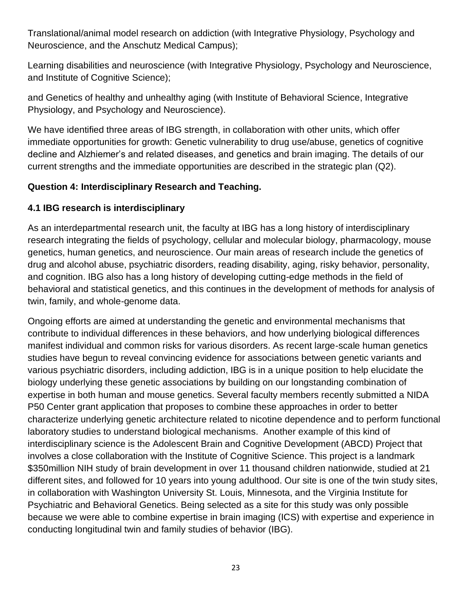Translational/animal model research on addiction (with Integrative Physiology, Psychology and Neuroscience, and the Anschutz Medical Campus);

Learning disabilities and neuroscience (with Integrative Physiology, Psychology and Neuroscience, and Institute of Cognitive Science);

and Genetics of healthy and unhealthy aging (with Institute of Behavioral Science, Integrative Physiology, and Psychology and Neuroscience).

We have identified three areas of IBG strength, in collaboration with other units, which offer immediate opportunities for growth: Genetic vulnerability to drug use/abuse, genetics of cognitive decline and Alzhiemer's and related diseases, and genetics and brain imaging. The details of our current strengths and the immediate opportunities are described in the strategic plan (Q2).

## **Question 4: Interdisciplinary Research and Teaching.**

## **4.1 IBG research is interdisciplinary**

As an interdepartmental research unit, the faculty at IBG has a long history of interdisciplinary research integrating the fields of psychology, cellular and molecular biology, pharmacology, mouse genetics, human genetics, and neuroscience. Our main areas of research include the genetics of drug and alcohol abuse, psychiatric disorders, reading disability, aging, risky behavior, personality, and cognition. IBG also has a long history of developing cutting-edge methods in the field of behavioral and statistical genetics, and this continues in the development of methods for analysis of twin, family, and whole-genome data.

Ongoing efforts are aimed at understanding the genetic and environmental mechanisms that contribute to individual differences in these behaviors, and how underlying biological differences manifest individual and common risks for various disorders. As recent large-scale human genetics studies have begun to reveal convincing evidence for associations between genetic variants and various psychiatric disorders, including addiction, IBG is in a unique position to help elucidate the biology underlying these genetic associations by building on our longstanding combination of expertise in both human and mouse genetics. Several faculty members recently submitted a NIDA P50 Center grant application that proposes to combine these approaches in order to better characterize underlying genetic architecture related to nicotine dependence and to perform functional laboratory studies to understand biological mechanisms. Another example of this kind of interdisciplinary science is the Adolescent Brain and Cognitive Development (ABCD) Project that involves a close collaboration with the Institute of Cognitive Science. This project is a landmark \$350million NIH study of brain development in over 11 thousand children nationwide, studied at 21 different sites, and followed for 10 years into young adulthood. Our site is one of the twin study sites, in collaboration with Washington University St. Louis, Minnesota, and the Virginia Institute for Psychiatric and Behavioral Genetics. Being selected as a site for this study was only possible because we were able to combine expertise in brain imaging (ICS) with expertise and experience in conducting longitudinal twin and family studies of behavior (IBG).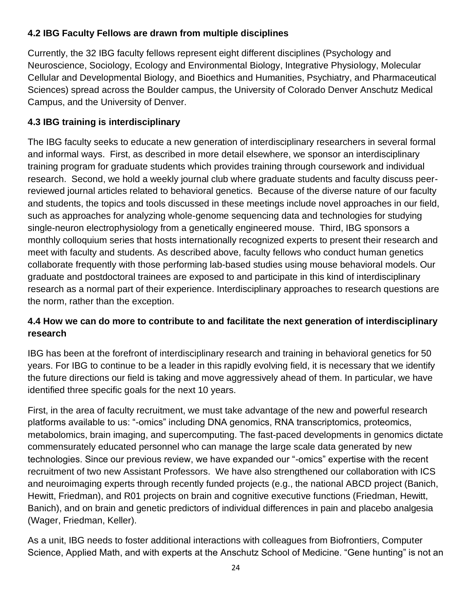# **4.2 IBG Faculty Fellows are drawn from multiple disciplines**

Currently, the 32 IBG faculty fellows represent eight different disciplines (Psychology and Neuroscience, Sociology, Ecology and Environmental Biology, Integrative Physiology, Molecular Cellular and Developmental Biology, and Bioethics and Humanities, Psychiatry, and Pharmaceutical Sciences) spread across the Boulder campus, the University of Colorado Denver Anschutz Medical Campus, and the University of Denver.

# **4.3 IBG training is interdisciplinary**

The IBG faculty seeks to educate a new generation of interdisciplinary researchers in several formal and informal ways. First, as described in more detail elsewhere, we sponsor an interdisciplinary training program for graduate students which provides training through coursework and individual research. Second, we hold a weekly journal club where graduate students and faculty discuss peerreviewed journal articles related to behavioral genetics. Because of the diverse nature of our faculty and students, the topics and tools discussed in these meetings include novel approaches in our field, such as approaches for analyzing whole-genome sequencing data and technologies for studying single-neuron electrophysiology from a genetically engineered mouse. Third, IBG sponsors a monthly colloquium series that hosts internationally recognized experts to present their research and meet with faculty and students. As described above, faculty fellows who conduct human genetics collaborate frequently with those performing lab-based studies using mouse behavioral models. Our graduate and postdoctoral trainees are exposed to and participate in this kind of interdisciplinary research as a normal part of their experience. Interdisciplinary approaches to research questions are the norm, rather than the exception.

## **4.4 How we can do more to contribute to and facilitate the next generation of interdisciplinary research**

IBG has been at the forefront of interdisciplinary research and training in behavioral genetics for 50 years. For IBG to continue to be a leader in this rapidly evolving field, it is necessary that we identify the future directions our field is taking and move aggressively ahead of them. In particular, we have identified three specific goals for the next 10 years.

First, in the area of faculty recruitment, we must take advantage of the new and powerful research platforms available to us: "-omics" including DNA genomics, RNA transcriptomics, proteomics, metabolomics, brain imaging, and supercomputing. The fast-paced developments in genomics dictate commensurately educated personnel who can manage the large scale data generated by new technologies. Since our previous review, we have expanded our "-omics" expertise with the recent recruitment of two new Assistant Professors. We have also strengthened our collaboration with ICS and neuroimaging experts through recently funded projects (e.g., the national ABCD project (Banich, Hewitt, Friedman), and R01 projects on brain and cognitive executive functions (Friedman, Hewitt, Banich), and on brain and genetic predictors of individual differences in pain and placebo analgesia (Wager, Friedman, Keller).

As a unit, IBG needs to foster additional interactions with colleagues from Biofrontiers, Computer Science, Applied Math, and with experts at the Anschutz School of Medicine. "Gene hunting" is not an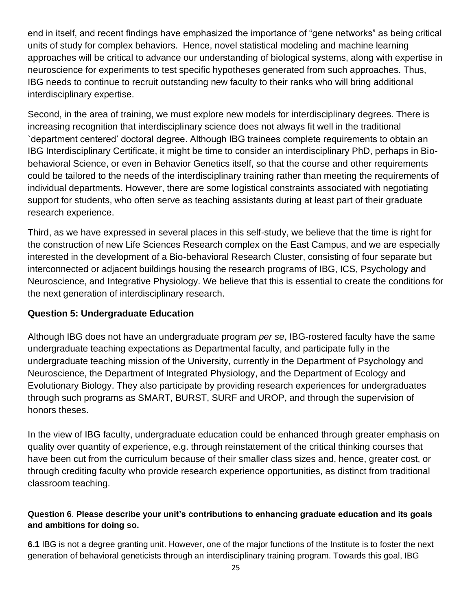end in itself, and recent findings have emphasized the importance of "gene networks" as being critical units of study for complex behaviors. Hence, novel statistical modeling and machine learning approaches will be critical to advance our understanding of biological systems, along with expertise in neuroscience for experiments to test specific hypotheses generated from such approaches. Thus, IBG needs to continue to recruit outstanding new faculty to their ranks who will bring additional interdisciplinary expertise.

Second, in the area of training, we must explore new models for interdisciplinary degrees. There is increasing recognition that interdisciplinary science does not always fit well in the traditional `department centered' doctoral degree. Although IBG trainees complete requirements to obtain an IBG Interdisciplinary Certificate, it might be time to consider an interdisciplinary PhD, perhaps in Biobehavioral Science, or even in Behavior Genetics itself, so that the course and other requirements could be tailored to the needs of the interdisciplinary training rather than meeting the requirements of individual departments. However, there are some logistical constraints associated with negotiating support for students, who often serve as teaching assistants during at least part of their graduate research experience.

Third, as we have expressed in several places in this self-study, we believe that the time is right for the construction of new Life Sciences Research complex on the East Campus, and we are especially interested in the development of a Bio-behavioral Research Cluster, consisting of four separate but interconnected or adjacent buildings housing the research programs of IBG, ICS, Psychology and Neuroscience, and Integrative Physiology. We believe that this is essential to create the conditions for the next generation of interdisciplinary research.

## **Question 5: Undergraduate Education**

Although IBG does not have an undergraduate program *per se*, IBG-rostered faculty have the same undergraduate teaching expectations as Departmental faculty, and participate fully in the undergraduate teaching mission of the University, currently in the Department of Psychology and Neuroscience, the Department of Integrated Physiology, and the Department of Ecology and Evolutionary Biology. They also participate by providing research experiences for undergraduates through such programs as SMART, BURST, SURF and UROP, and through the supervision of honors theses.

In the view of IBG faculty, undergraduate education could be enhanced through greater emphasis on quality over quantity of experience, e.g. through reinstatement of the critical thinking courses that have been cut from the curriculum because of their smaller class sizes and, hence, greater cost, or through crediting faculty who provide research experience opportunities, as distinct from traditional classroom teaching.

#### **Question 6**. **Please describe your unit's contributions to enhancing graduate education and its goals and ambitions for doing so.**

**6.1** IBG is not a degree granting unit. However, one of the major functions of the Institute is to foster the next generation of behavioral geneticists through an interdisciplinary training program. Towards this goal, IBG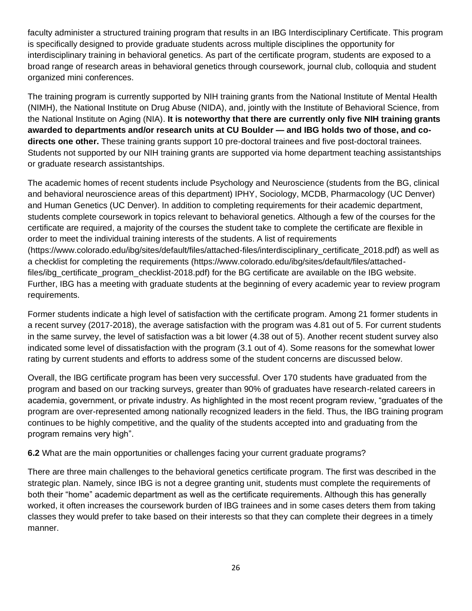faculty administer a structured training program that results in an IBG Interdisciplinary Certificate. This program is specifically designed to provide graduate students across multiple disciplines the opportunity for interdisciplinary training in behavioral genetics. As part of the certificate program, students are exposed to a broad range of research areas in behavioral genetics through coursework, journal club, colloquia and student organized mini conferences.

The training program is currently supported by NIH training grants from the National Institute of Mental Health (NIMH), the National Institute on Drug Abuse (NIDA), and, jointly with the Institute of Behavioral Science, from the National Institute on Aging (NIA). **It is noteworthy that there are currently only five NIH training grants awarded to departments and/or research units at CU Boulder — and IBG holds two of those, and codirects one other.** These training grants support 10 pre-doctoral trainees and five post-doctoral trainees. Students not supported by our NIH training grants are supported via home department teaching assistantships or graduate research assistantships.

The academic homes of recent students include Psychology and Neuroscience (students from the BG, clinical and behavioral neuroscience areas of this department) IPHY, Sociology, MCDB, Pharmacology (UC Denver) and Human Genetics (UC Denver). In addition to completing requirements for their academic department, students complete coursework in topics relevant to behavioral genetics. Although a few of the courses for the certificate are required, a majority of the courses the student take to complete the certificate are flexible in order to meet the individual training interests of the students. A list of requirements (https://www.colorado.edu/ibg/sites/default/files/attached-files/interdisciplinary\_certificate\_2018.pdf) as well as a checklist for completing the requirements (https://www.colorado.edu/ibg/sites/default/files/attachedfiles/ibg\_certificate\_program\_checklist-2018.pdf) for the BG certificate are available on the IBG website. Further, IBG has a meeting with graduate students at the beginning of every academic year to review program requirements.

Former students indicate a high level of satisfaction with the certificate program. Among 21 former students in a recent survey (2017-2018), the average satisfaction with the program was 4.81 out of 5. For current students in the same survey, the level of satisfaction was a bit lower (4.38 out of 5). Another recent student survey also indicated some level of dissatisfaction with the program (3.1 out of 4). Some reasons for the somewhat lower rating by current students and efforts to address some of the student concerns are discussed below.

Overall, the IBG certificate program has been very successful. Over 170 students have graduated from the program and based on our tracking surveys, greater than 90% of graduates have research-related careers in academia, government, or private industry. As highlighted in the most recent program review, "graduates of the program are over-represented among nationally recognized leaders in the field. Thus, the IBG training program continues to be highly competitive, and the quality of the students accepted into and graduating from the program remains very high".

**6.2** What are the main opportunities or challenges facing your current graduate programs?

There are three main challenges to the behavioral genetics certificate program. The first was described in the strategic plan. Namely, since IBG is not a degree granting unit, students must complete the requirements of both their "home" academic department as well as the certificate requirements. Although this has generally worked, it often increases the coursework burden of IBG trainees and in some cases deters them from taking classes they would prefer to take based on their interests so that they can complete their degrees in a timely manner.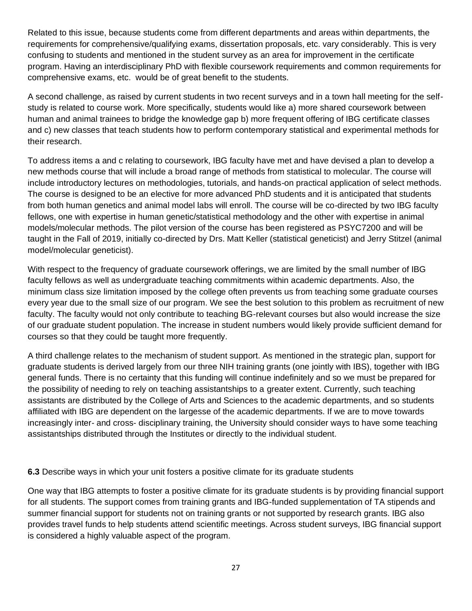Related to this issue, because students come from different departments and areas within departments, the requirements for comprehensive/qualifying exams, dissertation proposals, etc. vary considerably. This is very confusing to students and mentioned in the student survey as an area for improvement in the certificate program. Having an interdisciplinary PhD with flexible coursework requirements and common requirements for comprehensive exams, etc. would be of great benefit to the students.

A second challenge, as raised by current students in two recent surveys and in a town hall meeting for the selfstudy is related to course work. More specifically, students would like a) more shared coursework between human and animal trainees to bridge the knowledge gap b) more frequent offering of IBG certificate classes and c) new classes that teach students how to perform contemporary statistical and experimental methods for their research.

To address items a and c relating to coursework, IBG faculty have met and have devised a plan to develop a new methods course that will include a broad range of methods from statistical to molecular. The course will include introductory lectures on methodologies, tutorials, and hands-on practical application of select methods. The course is designed to be an elective for more advanced PhD students and it is anticipated that students from both human genetics and animal model labs will enroll. The course will be co-directed by two IBG faculty fellows, one with expertise in human genetic/statistical methodology and the other with expertise in animal models/molecular methods. The pilot version of the course has been registered as PSYC7200 and will be taught in the Fall of 2019, initially co-directed by Drs. Matt Keller (statistical geneticist) and Jerry Stitzel (animal model/molecular geneticist).

With respect to the frequency of graduate coursework offerings, we are limited by the small number of IBG faculty fellows as well as undergraduate teaching commitments within academic departments. Also, the minimum class size limitation imposed by the college often prevents us from teaching some graduate courses every year due to the small size of our program. We see the best solution to this problem as recruitment of new faculty. The faculty would not only contribute to teaching BG-relevant courses but also would increase the size of our graduate student population. The increase in student numbers would likely provide sufficient demand for courses so that they could be taught more frequently.

A third challenge relates to the mechanism of student support. As mentioned in the strategic plan, support for graduate students is derived largely from our three NIH training grants (one jointly with IBS), together with IBG general funds. There is no certainty that this funding will continue indefinitely and so we must be prepared for the possibility of needing to rely on teaching assistantships to a greater extent. Currently, such teaching assistants are distributed by the College of Arts and Sciences to the academic departments, and so students affiliated with IBG are dependent on the largesse of the academic departments. If we are to move towards increasingly inter- and cross- disciplinary training, the University should consider ways to have some teaching assistantships distributed through the Institutes or directly to the individual student.

**6.3** Describe ways in which your unit fosters a positive climate for its graduate students

One way that IBG attempts to foster a positive climate for its graduate students is by providing financial support for all students. The support comes from training grants and IBG-funded supplementation of TA stipends and summer financial support for students not on training grants or not supported by research grants. IBG also provides travel funds to help students attend scientific meetings. Across student surveys, IBG financial support is considered a highly valuable aspect of the program.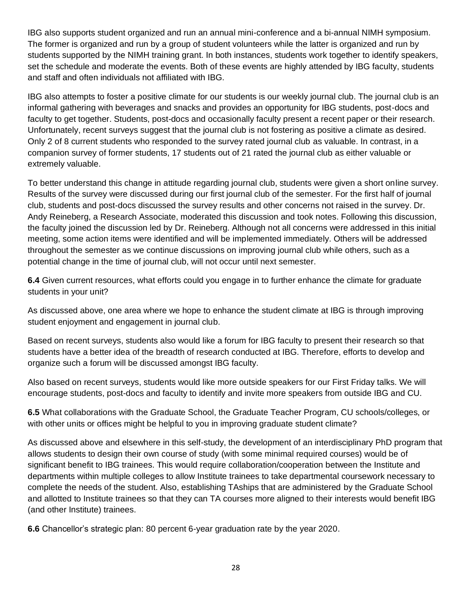IBG also supports student organized and run an annual mini-conference and a bi-annual NIMH symposium. The former is organized and run by a group of student volunteers while the latter is organized and run by students supported by the NIMH training grant. In both instances, students work together to identify speakers, set the schedule and moderate the events. Both of these events are highly attended by IBG faculty, students and staff and often individuals not affiliated with IBG.

IBG also attempts to foster a positive climate for our students is our weekly journal club. The journal club is an informal gathering with beverages and snacks and provides an opportunity for IBG students, post-docs and faculty to get together. Students, post-docs and occasionally faculty present a recent paper or their research. Unfortunately, recent surveys suggest that the journal club is not fostering as positive a climate as desired. Only 2 of 8 current students who responded to the survey rated journal club as valuable. In contrast, in a companion survey of former students, 17 students out of 21 rated the journal club as either valuable or extremely valuable.

To better understand this change in attitude regarding journal club, students were given a short online survey. Results of the survey were discussed during our first journal club of the semester. For the first half of journal club, students and post-docs discussed the survey results and other concerns not raised in the survey. Dr. Andy Reineberg, a Research Associate, moderated this discussion and took notes. Following this discussion, the faculty joined the discussion led by Dr. Reineberg. Although not all concerns were addressed in this initial meeting, some action items were identified and will be implemented immediately. Others will be addressed throughout the semester as we continue discussions on improving journal club while others, such as a potential change in the time of journal club, will not occur until next semester.

**6.4** Given current resources, what efforts could you engage in to further enhance the climate for graduate students in your unit?

As discussed above, one area where we hope to enhance the student climate at IBG is through improving student enjoyment and engagement in journal club.

Based on recent surveys, students also would like a forum for IBG faculty to present their research so that students have a better idea of the breadth of research conducted at IBG. Therefore, efforts to develop and organize such a forum will be discussed amongst IBG faculty.

Also based on recent surveys, students would like more outside speakers for our First Friday talks. We will encourage students, post-docs and faculty to identify and invite more speakers from outside IBG and CU.

**6.5** What collaborations with the Graduate School, the Graduate Teacher Program, CU schools/colleges, or with other units or offices might be helpful to you in improving graduate student climate?

As discussed above and elsewhere in this self-study, the development of an interdisciplinary PhD program that allows students to design their own course of study (with some minimal required courses) would be of significant benefit to IBG trainees. This would require collaboration/cooperation between the Institute and departments within multiple colleges to allow Institute trainees to take departmental coursework necessary to complete the needs of the student. Also, establishing TAships that are administered by the Graduate School and allotted to Institute trainees so that they can TA courses more aligned to their interests would benefit IBG (and other Institute) trainees.

**6.6** Chancellor's strategic plan: 80 percent 6-year graduation rate by the year 2020.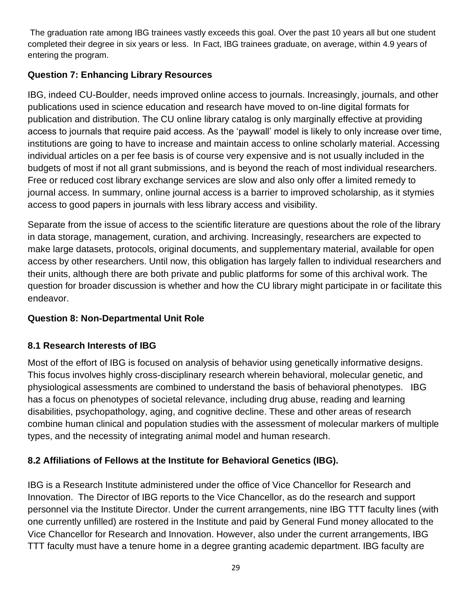The graduation rate among IBG trainees vastly exceeds this goal. Over the past 10 years all but one student completed their degree in six years or less. In Fact, IBG trainees graduate, on average, within 4.9 years of entering the program.

# **Question 7: Enhancing Library Resources**

IBG, indeed CU-Boulder, needs improved online access to journals. Increasingly, journals, and other publications used in science education and research have moved to on-line digital formats for publication and distribution. The CU online library catalog is only marginally effective at providing access to journals that require paid access. As the 'paywall' model is likely to only increase over time, institutions are going to have to increase and maintain access to online scholarly material. Accessing individual articles on a per fee basis is of course very expensive and is not usually included in the budgets of most if not all grant submissions, and is beyond the reach of most individual researchers. Free or reduced cost library exchange services are slow and also only offer a limited remedy to journal access. In summary, online journal access is a barrier to improved scholarship, as it stymies access to good papers in journals with less library access and visibility.

Separate from the issue of access to the scientific literature are questions about the role of the library in data storage, management, curation, and archiving. Increasingly, researchers are expected to make large datasets, protocols, original documents, and supplementary material, available for open access by other researchers. Until now, this obligation has largely fallen to individual researchers and their units, although there are both private and public platforms for some of this archival work. The question for broader discussion is whether and how the CU library might participate in or facilitate this endeavor.

## **Question 8: Non-Departmental Unit Role**

## **8.1 Research Interests of IBG**

Most of the effort of IBG is focused on analysis of behavior using genetically informative designs. This focus involves highly cross-disciplinary research wherein behavioral, molecular genetic, and physiological assessments are combined to understand the basis of behavioral phenotypes. IBG has a focus on phenotypes of societal relevance, including drug abuse, reading and learning disabilities, psychopathology, aging, and cognitive decline. These and other areas of research combine human clinical and population studies with the assessment of molecular markers of multiple types, and the necessity of integrating animal model and human research.

## **8.2 Affiliations of Fellows at the Institute for Behavioral Genetics (IBG).**

IBG is a Research Institute administered under the office of Vice Chancellor for Research and Innovation. The Director of IBG reports to the Vice Chancellor, as do the research and support personnel via the Institute Director. Under the current arrangements, nine IBG TTT faculty lines (with one currently unfilled) are rostered in the Institute and paid by General Fund money allocated to the Vice Chancellor for Research and Innovation. However, also under the current arrangements, IBG TTT faculty must have a tenure home in a degree granting academic department. IBG faculty are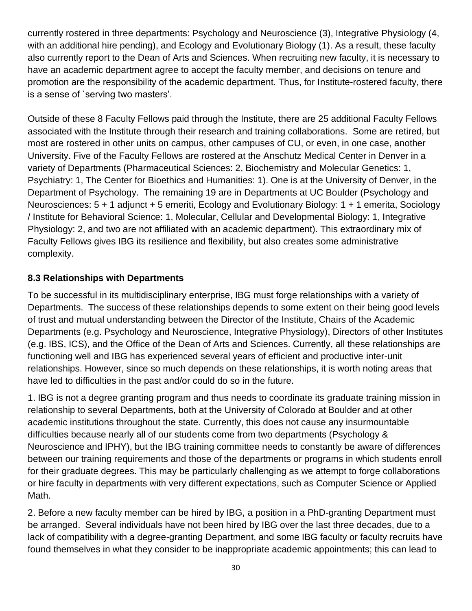currently rostered in three departments: Psychology and Neuroscience (3), Integrative Physiology (4, with an additional hire pending), and Ecology and Evolutionary Biology (1). As a result, these faculty also currently report to the Dean of Arts and Sciences. When recruiting new faculty, it is necessary to have an academic department agree to accept the faculty member, and decisions on tenure and promotion are the responsibility of the academic department. Thus, for Institute-rostered faculty, there is a sense of `serving two masters'.

Outside of these 8 Faculty Fellows paid through the Institute, there are 25 additional Faculty Fellows associated with the Institute through their research and training collaborations. Some are retired, but most are rostered in other units on campus, other campuses of CU, or even, in one case, another University. Five of the Faculty Fellows are rostered at the Anschutz Medical Center in Denver in a variety of Departments (Pharmaceutical Sciences: 2, Biochemistry and Molecular Genetics: 1, Psychiatry: 1, The Center for Bioethics and Humanities: 1). One is at the University of Denver, in the Department of Psychology. The remaining 19 are in Departments at UC Boulder (Psychology and Neurosciences: 5 + 1 adjunct + 5 emeriti, Ecology and Evolutionary Biology: 1 + 1 emerita, Sociology / Institute for Behavioral Science: 1, Molecular, Cellular and Developmental Biology: 1, Integrative Physiology: 2, and two are not affiliated with an academic department). This extraordinary mix of Faculty Fellows gives IBG its resilience and flexibility, but also creates some administrative complexity.

## **8.3 Relationships with Departments**

To be successful in its multidisciplinary enterprise, IBG must forge relationships with a variety of Departments. The success of these relationships depends to some extent on their being good levels of trust and mutual understanding between the Director of the Institute, Chairs of the Academic Departments (e.g. Psychology and Neuroscience, Integrative Physiology), Directors of other Institutes (e.g. IBS, ICS), and the Office of the Dean of Arts and Sciences. Currently, all these relationships are functioning well and IBG has experienced several years of efficient and productive inter-unit relationships. However, since so much depends on these relationships, it is worth noting areas that have led to difficulties in the past and/or could do so in the future.

1. IBG is not a degree granting program and thus needs to coordinate its graduate training mission in relationship to several Departments, both at the University of Colorado at Boulder and at other academic institutions throughout the state. Currently, this does not cause any insurmountable difficulties because nearly all of our students come from two departments (Psychology & Neuroscience and IPHY), but the IBG training committee needs to constantly be aware of differences between our training requirements and those of the departments or programs in which students enroll for their graduate degrees. This may be particularly challenging as we attempt to forge collaborations or hire faculty in departments with very different expectations, such as Computer Science or Applied Math.

2. Before a new faculty member can be hired by IBG, a position in a PhD-granting Department must be arranged. Several individuals have not been hired by IBG over the last three decades, due to a lack of compatibility with a degree-granting Department, and some IBG faculty or faculty recruits have found themselves in what they consider to be inappropriate academic appointments; this can lead to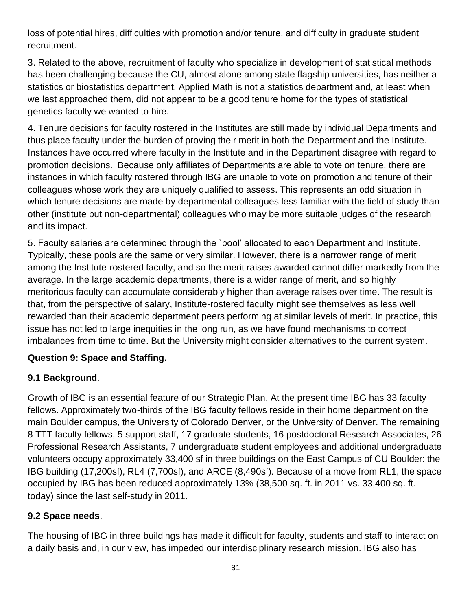loss of potential hires, difficulties with promotion and/or tenure, and difficulty in graduate student recruitment.

3. Related to the above, recruitment of faculty who specialize in development of statistical methods has been challenging because the CU, almost alone among state flagship universities, has neither a statistics or biostatistics department. Applied Math is not a statistics department and, at least when we last approached them, did not appear to be a good tenure home for the types of statistical genetics faculty we wanted to hire.

4. Tenure decisions for faculty rostered in the Institutes are still made by individual Departments and thus place faculty under the burden of proving their merit in both the Department and the Institute. Instances have occurred where faculty in the Institute and in the Department disagree with regard to promotion decisions. Because only affiliates of Departments are able to vote on tenure, there are instances in which faculty rostered through IBG are unable to vote on promotion and tenure of their colleagues whose work they are uniquely qualified to assess. This represents an odd situation in which tenure decisions are made by departmental colleagues less familiar with the field of study than other (institute but non-departmental) colleagues who may be more suitable judges of the research and its impact.

5. Faculty salaries are determined through the `pool' allocated to each Department and Institute. Typically, these pools are the same or very similar. However, there is a narrower range of merit among the Institute-rostered faculty, and so the merit raises awarded cannot differ markedly from the average. In the large academic departments, there is a wider range of merit, and so highly meritorious faculty can accumulate considerably higher than average raises over time. The result is that, from the perspective of salary, Institute-rostered faculty might see themselves as less well rewarded than their academic department peers performing at similar levels of merit. In practice, this issue has not led to large inequities in the long run, as we have found mechanisms to correct imbalances from time to time. But the University might consider alternatives to the current system.

## **Question 9: Space and Staffing.**

## **9.1 Background**.

Growth of IBG is an essential feature of our Strategic Plan. At the present time IBG has 33 faculty fellows. Approximately two-thirds of the IBG faculty fellows reside in their home department on the main Boulder campus, the University of Colorado Denver, or the University of Denver. The remaining 8 TTT faculty fellows, 5 support staff, 17 graduate students, 16 postdoctoral Research Associates, 26 Professional Research Assistants, 7 undergraduate student employees and additional undergraduate volunteers occupy approximately 33,400 sf in three buildings on the East Campus of CU Boulder: the IBG building (17,200sf), RL4 (7,700sf), and ARCE (8,490sf). Because of a move from RL1, the space occupied by IBG has been reduced approximately 13% (38,500 sq. ft. in 2011 vs. 33,400 sq. ft. today) since the last self-study in 2011.

## **9.2 Space needs**.

The housing of IBG in three buildings has made it difficult for faculty, students and staff to interact on a daily basis and, in our view, has impeded our interdisciplinary research mission. IBG also has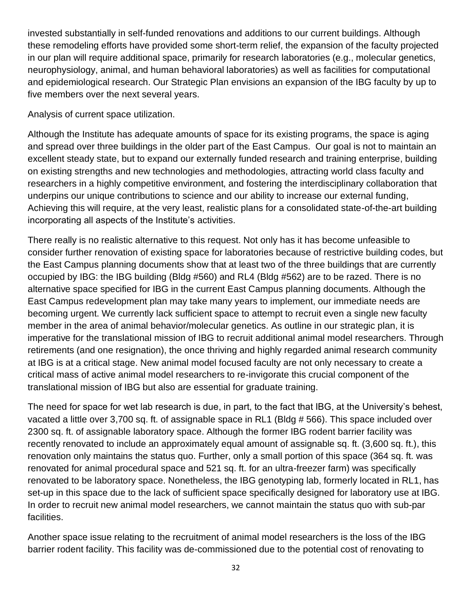invested substantially in self-funded renovations and additions to our current buildings. Although these remodeling efforts have provided some short-term relief, the expansion of the faculty projected in our plan will require additional space, primarily for research laboratories (e.g., molecular genetics, neurophysiology, animal, and human behavioral laboratories) as well as facilities for computational and epidemiological research. Our Strategic Plan envisions an expansion of the IBG faculty by up to five members over the next several years.

Analysis of current space utilization.

Although the Institute has adequate amounts of space for its existing programs, the space is aging and spread over three buildings in the older part of the East Campus. Our goal is not to maintain an excellent steady state, but to expand our externally funded research and training enterprise, building on existing strengths and new technologies and methodologies, attracting world class faculty and researchers in a highly competitive environment, and fostering the interdisciplinary collaboration that underpins our unique contributions to science and our ability to increase our external funding, Achieving this will require, at the very least, realistic plans for a consolidated state-of-the-art building incorporating all aspects of the Institute's activities.

There really is no realistic alternative to this request. Not only has it has become unfeasible to consider further renovation of existing space for laboratories because of restrictive building codes, but the East Campus planning documents show that at least two of the three buildings that are currently occupied by IBG: the IBG building (Bldg #560) and RL4 (Bldg #562) are to be razed. There is no alternative space specified for IBG in the current East Campus planning documents. Although the East Campus redevelopment plan may take many years to implement, our immediate needs are becoming urgent. We currently lack sufficient space to attempt to recruit even a single new faculty member in the area of animal behavior/molecular genetics. As outline in our strategic plan, it is imperative for the translational mission of IBG to recruit additional animal model researchers. Through retirements (and one resignation), the once thriving and highly regarded animal research community at IBG is at a critical stage. New animal model focused faculty are not only necessary to create a critical mass of active animal model researchers to re-invigorate this crucial component of the translational mission of IBG but also are essential for graduate training.

The need for space for wet lab research is due, in part, to the fact that IBG, at the University's behest, vacated a little over 3,700 sq. ft. of assignable space in RL1 (Bldg # 566). This space included over 2300 sq. ft. of assignable laboratory space. Although the former IBG rodent barrier facility was recently renovated to include an approximately equal amount of assignable sq. ft. (3,600 sq. ft.), this renovation only maintains the status quo. Further, only a small portion of this space (364 sq. ft. was renovated for animal procedural space and 521 sq. ft. for an ultra-freezer farm) was specifically renovated to be laboratory space. Nonetheless, the IBG genotyping lab, formerly located in RL1, has set-up in this space due to the lack of sufficient space specifically designed for laboratory use at IBG. In order to recruit new animal model researchers, we cannot maintain the status quo with sub-par facilities.

Another space issue relating to the recruitment of animal model researchers is the loss of the IBG barrier rodent facility. This facility was de-commissioned due to the potential cost of renovating to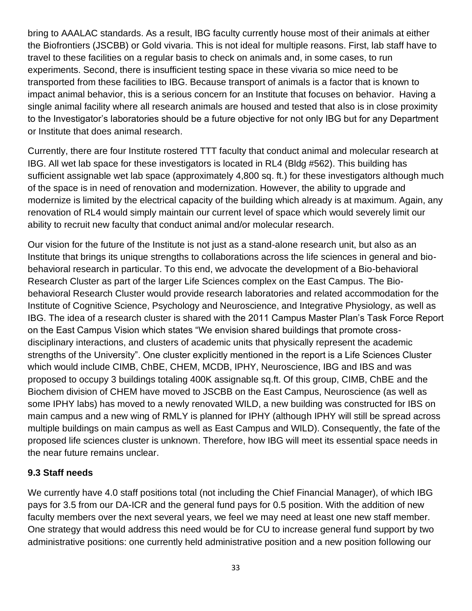bring to AAALAC standards. As a result, IBG faculty currently house most of their animals at either the Biofrontiers (JSCBB) or Gold vivaria. This is not ideal for multiple reasons. First, lab staff have to travel to these facilities on a regular basis to check on animals and, in some cases, to run experiments. Second, there is insufficient testing space in these vivaria so mice need to be transported from these facilities to IBG. Because transport of animals is a factor that is known to impact animal behavior, this is a serious concern for an Institute that focuses on behavior. Having a single animal facility where all research animals are housed and tested that also is in close proximity to the Investigator's laboratories should be a future objective for not only IBG but for any Department or Institute that does animal research.

Currently, there are four Institute rostered TTT faculty that conduct animal and molecular research at IBG. All wet lab space for these investigators is located in RL4 (Bldg #562). This building has sufficient assignable wet lab space (approximately 4,800 sq. ft.) for these investigators although much of the space is in need of renovation and modernization. However, the ability to upgrade and modernize is limited by the electrical capacity of the building which already is at maximum. Again, any renovation of RL4 would simply maintain our current level of space which would severely limit our ability to recruit new faculty that conduct animal and/or molecular research.

Our vision for the future of the Institute is not just as a stand-alone research unit, but also as an Institute that brings its unique strengths to collaborations across the life sciences in general and biobehavioral research in particular. To this end, we advocate the development of a Bio-behavioral Research Cluster as part of the larger Life Sciences complex on the East Campus. The Biobehavioral Research Cluster would provide research laboratories and related accommodation for the Institute of Cognitive Science, Psychology and Neuroscience, and Integrative Physiology, as well as IBG. The idea of a research cluster is shared with the 2011 Campus Master Plan's Task Force Report on the East Campus Vision which states "We envision shared buildings that promote crossdisciplinary interactions, and clusters of academic units that physically represent the academic strengths of the University". One cluster explicitly mentioned in the report is a Life Sciences Cluster which would include CIMB, ChBE, CHEM, MCDB, IPHY, Neuroscience, IBG and IBS and was proposed to occupy 3 buildings totaling 400K assignable sq.ft. Of this group, CIMB, ChBE and the Biochem division of CHEM have moved to JSCBB on the East Campus, Neuroscience (as well as some IPHY labs) has moved to a newly renovated WILD, a new building was constructed for IBS on main campus and a new wing of RMLY is planned for IPHY (although IPHY will still be spread across multiple buildings on main campus as well as East Campus and WILD). Consequently, the fate of the proposed life sciences cluster is unknown. Therefore, how IBG will meet its essential space needs in the near future remains unclear.

## **9.3 Staff needs**

We currently have 4.0 staff positions total (not including the Chief Financial Manager), of which IBG pays for 3.5 from our DA-ICR and the general fund pays for 0.5 position. With the addition of new faculty members over the next several years, we feel we may need at least one new staff member. One strategy that would address this need would be for CU to increase general fund support by two administrative positions: one currently held administrative position and a new position following our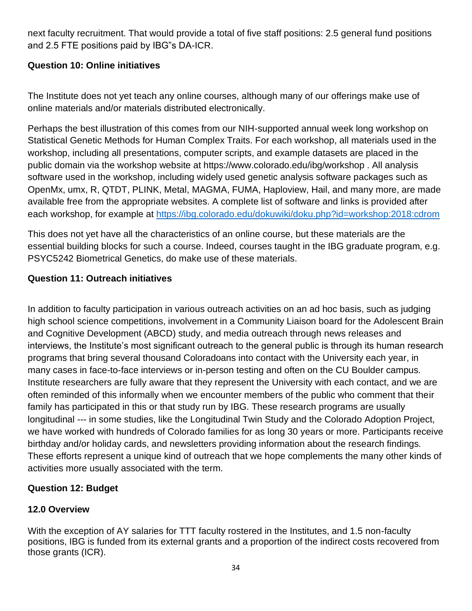next faculty recruitment. That would provide a total of five staff positions: 2.5 general fund positions and 2.5 FTE positions paid by IBG"s DA-ICR.

## **Question 10: Online initiatives**

The Institute does not yet teach any online courses, although many of our offerings make use of online materials and/or materials distributed electronically.

Perhaps the best illustration of this comes from our NIH-supported annual week long workshop on Statistical Genetic Methods for Human Complex Traits. For each workshop, all materials used in the workshop, including all presentations, computer scripts, and example datasets are placed in the public domain via the workshop website at https://www.colorado.edu/ibg/workshop . All analysis software used in the workshop, including widely used genetic analysis software packages such as OpenMx, umx, R, QTDT, PLINK, Metal, MAGMA, FUMA, Haploview, Hail, and many more, are made available free from the appropriate websites. A complete list of software and links is provided after each workshop, for example at<https://ibg.colorado.edu/dokuwiki/doku.php?id=workshop:2018:cdrom>

This does not yet have all the characteristics of an online course, but these materials are the essential building blocks for such a course. Indeed, courses taught in the IBG graduate program, e.g. PSYC5242 Biometrical Genetics, do make use of these materials.

## **Question 11: Outreach initiatives**

In addition to faculty participation in various outreach activities on an ad hoc basis, such as judging high school science competitions, involvement in a Community Liaison board for the Adolescent Brain and Cognitive Development (ABCD) study, and media outreach through news releases and interviews, the Institute's most significant outreach to the general public is through its human research programs that bring several thousand Coloradoans into contact with the University each year, in many cases in face-to-face interviews or in-person testing and often on the CU Boulder campus. Institute researchers are fully aware that they represent the University with each contact, and we are often reminded of this informally when we encounter members of the public who comment that their family has participated in this or that study run by IBG. These research programs are usually longitudinal --- in some studies, like the Longitudinal Twin Study and the Colorado Adoption Project, we have worked with hundreds of Colorado families for as long 30 years or more. Participants receive birthday and/or holiday cards, and newsletters providing information about the research findings. These efforts represent a unique kind of outreach that we hope complements the many other kinds of activities more usually associated with the term.

## **Question 12: Budget**

## **12.0 Overview**

With the exception of AY salaries for TTT faculty rostered in the Institutes, and 1.5 non-faculty positions, IBG is funded from its external grants and a proportion of the indirect costs recovered from those grants (ICR).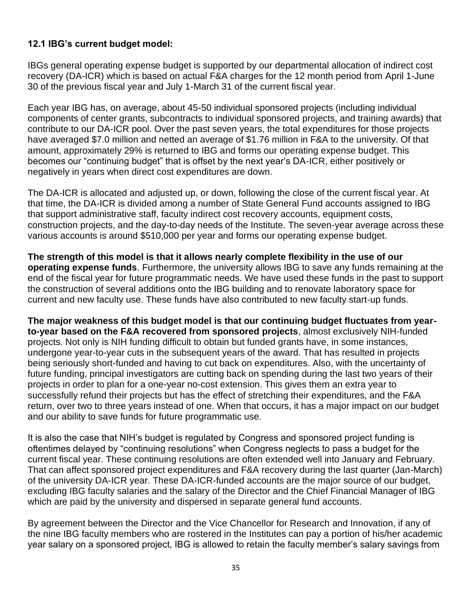## **12.1 IBG's current budget model:**

IBGs general operating expense budget is supported by our departmental allocation of indirect cost recovery (DA-ICR) which is based on actual F&A charges for the 12 month period from April 1-June 30 of the previous fiscal year and July 1-March 31 of the current fiscal year.

Each year IBG has, on average, about 45-50 individual sponsored projects (including individual components of center grants, subcontracts to individual sponsored projects, and training awards) that contribute to our DA-ICR pool. Over the past seven years, the total expenditures for those projects have averaged \$7.0 million and netted an average of \$1.76 million in F&A to the university. Of that amount, approximately 29% is returned to IBG and forms our operating expense budget. This becomes our "continuing budget" that is offset by the next year's DA-ICR, either positively or negatively in years when direct cost expenditures are down.

The DA-ICR is allocated and adjusted up, or down, following the close of the current fiscal year. At that time, the DA-ICR is divided among a number of State General Fund accounts assigned to IBG that support administrative staff, faculty indirect cost recovery accounts, equipment costs, construction projects, and the day-to-day needs of the Institute. The seven-year average across these various accounts is around \$510,000 per year and forms our operating expense budget.

**The strength of this model is that it allows nearly complete flexibility in the use of our operating expense funds**. Furthermore, the university allows IBG to save any funds remaining at the end of the fiscal year for future programmatic needs. We have used these funds in the past to support the construction of several additions onto the IBG building and to renovate laboratory space for current and new faculty use. These funds have also contributed to new faculty start-up funds.

**The major weakness of this budget model is that our continuing budget fluctuates from yearto-year based on the F&A recovered from sponsored projects**, almost exclusively NIH-funded projects. Not only is NIH funding difficult to obtain but funded grants have, in some instances, undergone year-to-year cuts in the subsequent years of the award. That has resulted in projects being seriously short-funded and having to cut back on expenditures. Also, with the uncertainty of future funding, principal investigators are cutting back on spending during the last two years of their projects in order to plan for a one-year no-cost extension. This gives them an extra year to successfully refund their projects but has the effect of stretching their expenditures, and the F&A return, over two to three years instead of one. When that occurs, it has a major impact on our budget and our ability to save funds for future programmatic use.

It is also the case that NIH's budget is regulated by Congress and sponsored project funding is oftentimes delayed by "continuing resolutions" when Congress neglects to pass a budget for the current fiscal year. These continuing resolutions are often extended well into January and February. That can affect sponsored project expenditures and F&A recovery during the last quarter (Jan-March) of the university DA-ICR year. These DA-ICR-funded accounts are the major source of our budget, excluding IBG faculty salaries and the salary of the Director and the Chief Financial Manager of IBG which are paid by the university and dispersed in separate general fund accounts.

By agreement between the Director and the Vice Chancellor for Research and Innovation, if any of the nine IBG faculty members who are rostered in the Institutes can pay a portion of his/her academic year salary on a sponsored project, IBG is allowed to retain the faculty member's salary savings from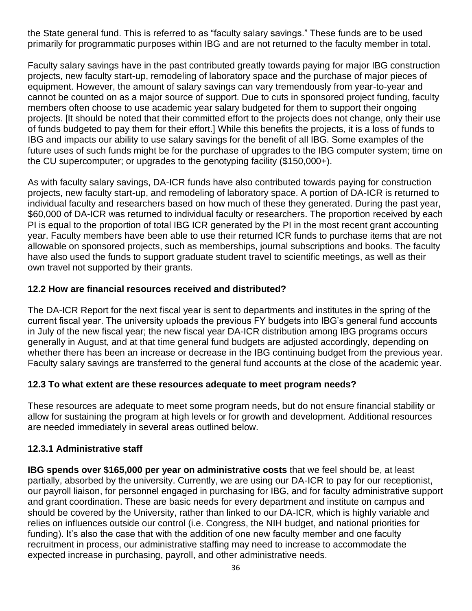the State general fund. This is referred to as "faculty salary savings." These funds are to be used primarily for programmatic purposes within IBG and are not returned to the faculty member in total.

Faculty salary savings have in the past contributed greatly towards paying for major IBG construction projects, new faculty start-up, remodeling of laboratory space and the purchase of major pieces of equipment. However, the amount of salary savings can vary tremendously from year-to-year and cannot be counted on as a major source of support. Due to cuts in sponsored project funding, faculty members often choose to use academic year salary budgeted for them to support their ongoing projects. [It should be noted that their committed effort to the projects does not change, only their use of funds budgeted to pay them for their effort.] While this benefits the projects, it is a loss of funds to IBG and impacts our ability to use salary savings for the benefit of all IBG. Some examples of the future uses of such funds might be for the purchase of upgrades to the IBG computer system; time on the CU supercomputer; or upgrades to the genotyping facility (\$150,000+).

As with faculty salary savings, DA-ICR funds have also contributed towards paying for construction projects, new faculty start-up, and remodeling of laboratory space. A portion of DA-ICR is returned to individual faculty and researchers based on how much of these they generated. During the past year, \$60,000 of DA-ICR was returned to individual faculty or researchers. The proportion received by each PI is equal to the proportion of total IBG ICR generated by the PI in the most recent grant accounting year. Faculty members have been able to use their returned ICR funds to purchase items that are not allowable on sponsored projects, such as memberships, journal subscriptions and books. The faculty have also used the funds to support graduate student travel to scientific meetings, as well as their own travel not supported by their grants.

## **12.2 How are financial resources received and distributed?**

The DA-ICR Report for the next fiscal year is sent to departments and institutes in the spring of the current fiscal year. The university uploads the previous FY budgets into IBG's general fund accounts in July of the new fiscal year; the new fiscal year DA-ICR distribution among IBG programs occurs generally in August, and at that time general fund budgets are adjusted accordingly, depending on whether there has been an increase or decrease in the IBG continuing budget from the previous year. Faculty salary savings are transferred to the general fund accounts at the close of the academic year.

#### **12.3 To what extent are these resources adequate to meet program needs?**

These resources are adequate to meet some program needs, but do not ensure financial stability or allow for sustaining the program at high levels or for growth and development. Additional resources are needed immediately in several areas outlined below.

## **12.3.1 Administrative staff**

**IBG spends over \$165,000 per year on administrative costs** that we feel should be, at least partially, absorbed by the university. Currently, we are using our DA-ICR to pay for our receptionist, our payroll liaison, for personnel engaged in purchasing for IBG, and for faculty administrative support and grant coordination. These are basic needs for every department and institute on campus and should be covered by the University, rather than linked to our DA-ICR, which is highly variable and relies on influences outside our control (i.e. Congress, the NIH budget, and national priorities for funding). It's also the case that with the addition of one new faculty member and one faculty recruitment in process, our administrative staffing may need to increase to accommodate the expected increase in purchasing, payroll, and other administrative needs.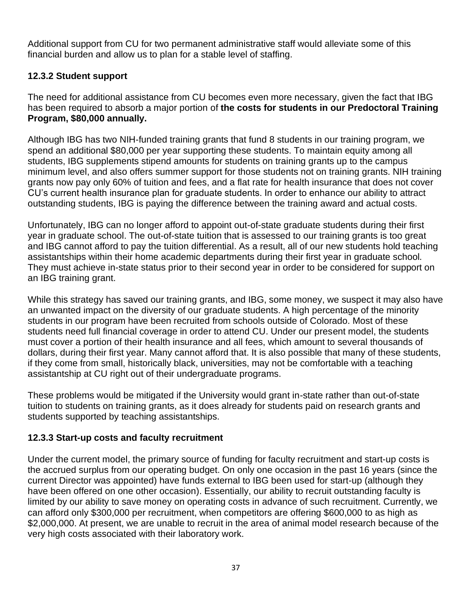Additional support from CU for two permanent administrative staff would alleviate some of this financial burden and allow us to plan for a stable level of staffing.

## **12.3.2 Student support**

The need for additional assistance from CU becomes even more necessary, given the fact that IBG has been required to absorb a major portion of **the costs for students in our Predoctoral Training Program, \$80,000 annually.**

Although IBG has two NIH-funded training grants that fund 8 students in our training program, we spend an additional \$80,000 per year supporting these students. To maintain equity among all students, IBG supplements stipend amounts for students on training grants up to the campus minimum level, and also offers summer support for those students not on training grants. NIH training grants now pay only 60% of tuition and fees, and a flat rate for health insurance that does not cover CU's current health insurance plan for graduate students. In order to enhance our ability to attract outstanding students, IBG is paying the difference between the training award and actual costs.

Unfortunately, IBG can no longer afford to appoint out-of-state graduate students during their first year in graduate school. The out-of-state tuition that is assessed to our training grants is too great and IBG cannot afford to pay the tuition differential. As a result, all of our new students hold teaching assistantships within their home academic departments during their first year in graduate school. They must achieve in-state status prior to their second year in order to be considered for support on an IBG training grant.

While this strategy has saved our training grants, and IBG, some money, we suspect it may also have an unwanted impact on the diversity of our graduate students. A high percentage of the minority students in our program have been recruited from schools outside of Colorado. Most of these students need full financial coverage in order to attend CU. Under our present model, the students must cover a portion of their health insurance and all fees, which amount to several thousands of dollars, during their first year. Many cannot afford that. It is also possible that many of these students, if they come from small, historically black, universities, may not be comfortable with a teaching assistantship at CU right out of their undergraduate programs.

These problems would be mitigated if the University would grant in-state rather than out-of-state tuition to students on training grants, as it does already for students paid on research grants and students supported by teaching assistantships.

## **12.3.3 Start-up costs and faculty recruitment**

Under the current model, the primary source of funding for faculty recruitment and start-up costs is the accrued surplus from our operating budget. On only one occasion in the past 16 years (since the current Director was appointed) have funds external to IBG been used for start-up (although they have been offered on one other occasion). Essentially, our ability to recruit outstanding faculty is limited by our ability to save money on operating costs in advance of such recruitment. Currently, we can afford only \$300,000 per recruitment, when competitors are offering \$600,000 to as high as \$2,000,000. At present, we are unable to recruit in the area of animal model research because of the very high costs associated with their laboratory work.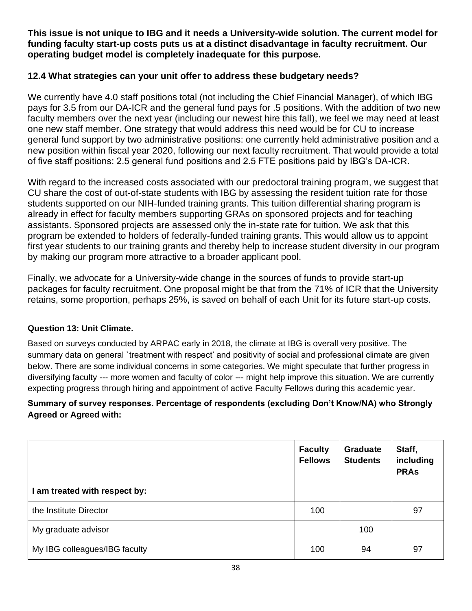**This issue is not unique to IBG and it needs a University-wide solution. The current model for funding faculty start-up costs puts us at a distinct disadvantage in faculty recruitment. Our operating budget model is completely inadequate for this purpose.**

#### **12.4 What strategies can your unit offer to address these budgetary needs?**

We currently have 4.0 staff positions total (not including the Chief Financial Manager), of which IBG pays for 3.5 from our DA-ICR and the general fund pays for .5 positions. With the addition of two new faculty members over the next year (including our newest hire this fall), we feel we may need at least one new staff member. One strategy that would address this need would be for CU to increase general fund support by two administrative positions: one currently held administrative position and a new position within fiscal year 2020, following our next faculty recruitment. That would provide a total of five staff positions: 2.5 general fund positions and 2.5 FTE positions paid by IBG's DA-ICR.

With regard to the increased costs associated with our predoctoral training program, we suggest that CU share the cost of out-of-state students with IBG by assessing the resident tuition rate for those students supported on our NIH-funded training grants. This tuition differential sharing program is already in effect for faculty members supporting GRAs on sponsored projects and for teaching assistants. Sponsored projects are assessed only the in-state rate for tuition. We ask that this program be extended to holders of federally-funded training grants. This would allow us to appoint first year students to our training grants and thereby help to increase student diversity in our program by making our program more attractive to a broader applicant pool.

Finally, we advocate for a University-wide change in the sources of funds to provide start-up packages for faculty recruitment. One proposal might be that from the 71% of ICR that the University retains, some proportion, perhaps 25%, is saved on behalf of each Unit for its future start-up costs.

#### **Question 13: Unit Climate.**

Based on surveys conducted by ARPAC early in 2018, the climate at IBG is overall very positive. The summary data on general `treatment with respect' and positivity of social and professional climate are given below. There are some individual concerns in some categories. We might speculate that further progress in diversifying faculty --- more women and faculty of color --- might help improve this situation. We are currently expecting progress through hiring and appointment of active Faculty Fellows during this academic year.

#### **Summary of survey responses. Percentage of respondents (excluding Don't Know/NA) who Strongly Agreed or Agreed with:**

|                               | <b>Faculty</b><br><b>Fellows</b> | <b>Graduate</b><br><b>Students</b> | Staff,<br>including<br><b>PRAs</b> |
|-------------------------------|----------------------------------|------------------------------------|------------------------------------|
| I am treated with respect by: |                                  |                                    |                                    |
| the Institute Director        | 100                              |                                    | 97                                 |
| My graduate advisor           |                                  | 100                                |                                    |
| My IBG colleagues/IBG faculty | 100                              | 94                                 | 97                                 |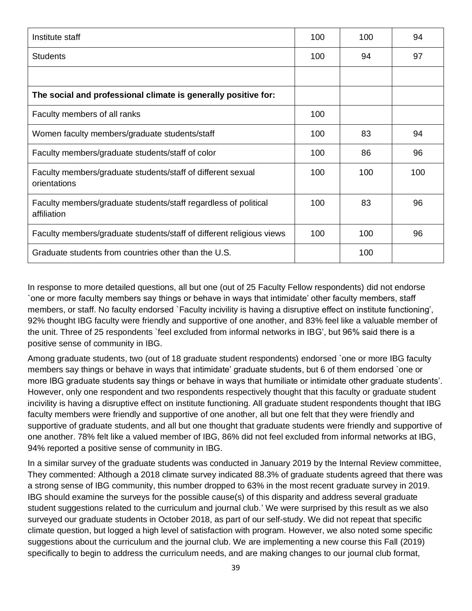| Institute staff                                                                | 100 | 100 | 94  |
|--------------------------------------------------------------------------------|-----|-----|-----|
| <b>Students</b>                                                                | 100 | 94  | 97  |
|                                                                                |     |     |     |
| The social and professional climate is generally positive for:                 |     |     |     |
| Faculty members of all ranks                                                   | 100 |     |     |
| Women faculty members/graduate students/staff                                  | 100 | 83  | 94  |
| Faculty members/graduate students/staff of color                               | 100 | 86  | 96  |
| Faculty members/graduate students/staff of different sexual<br>orientations    | 100 | 100 | 100 |
| Faculty members/graduate students/staff regardless of political<br>affiliation | 100 | 83  | 96  |
| Faculty members/graduate students/staff of different religious views           | 100 | 100 | 96  |
| Graduate students from countries other than the U.S.                           |     | 100 |     |

In response to more detailed questions, all but one (out of 25 Faculty Fellow respondents) did not endorse `one or more faculty members say things or behave in ways that intimidate' other faculty members, staff members, or staff. No faculty endorsed `Faculty incivility is having a disruptive effect on institute functioning', 92% thought IBG faculty were friendly and supportive of one another, and 83% feel like a valuable member of the unit. Three of 25 respondents `feel excluded from informal networks in IBG', but 96% said there is a positive sense of community in IBG.

Among graduate students, two (out of 18 graduate student respondents) endorsed `one or more IBG faculty members say things or behave in ways that intimidate' graduate students, but 6 of them endorsed `one or more IBG graduate students say things or behave in ways that humiliate or intimidate other graduate students'. However, only one respondent and two respondents respectively thought that this faculty or graduate student incivility is having a disruptive effect on institute functioning. All graduate student respondents thought that IBG faculty members were friendly and supportive of one another, all but one felt that they were friendly and supportive of graduate students, and all but one thought that graduate students were friendly and supportive of one another. 78% felt like a valued member of IBG, 86% did not feel excluded from informal networks at IBG, 94% reported a positive sense of community in IBG.

In a similar survey of the graduate students was conducted in January 2019 by the Internal Review committee, They commented: Although a 2018 climate survey indicated 88.3% of graduate students agreed that there was a strong sense of IBG community, this number dropped to 63% in the most recent graduate survey in 2019. IBG should examine the surveys for the possible cause(s) of this disparity and address several graduate student suggestions related to the curriculum and journal club.' We were surprised by this result as we also surveyed our graduate students in October 2018, as part of our self-study. We did not repeat that specific climate question, but logged a high level of satisfaction with program. However, we also noted some specific suggestions about the curriculum and the journal club. We are implementing a new course this Fall (2019) specifically to begin to address the curriculum needs, and are making changes to our journal club format,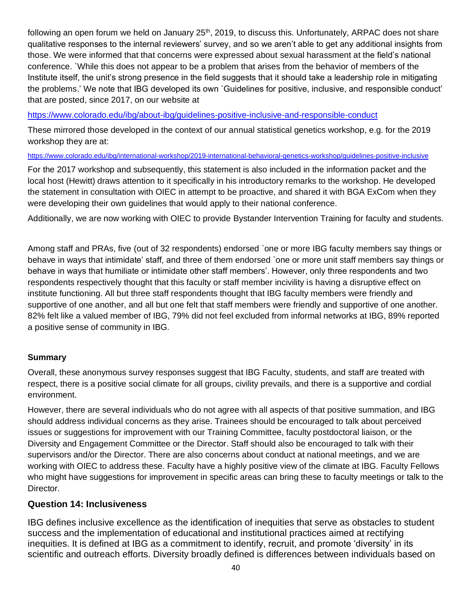following an open forum we held on January 25<sup>th</sup>, 2019, to discuss this. Unfortunately, ARPAC does not share qualitative responses to the internal reviewers' survey, and so we aren't able to get any additional insights from those. We were informed that that concerns were expressed about sexual harassment at the field's national conference. `While this does not appear to be a problem that arises from the behavior of members of the Institute itself, the unit's strong presence in the field suggests that it should take a leadership role in mitigating the problems.' We note that IBG developed its own `Guidelines for positive, inclusive, and responsible conduct' that are posted, since 2017, on our website at

<https://www.colorado.edu/ibg/about-ibg/guidelines-positive-inclusive-and-responsible-conduct>

These mirrored those developed in the context of our annual statistical genetics workshop, e.g. for the 2019 workshop they are at:

<https://www.colorado.edu/ibg/international-workshop/2019-international-behavioral-genetics-workshop/guidelines-positive-inclusive>

For the 2017 workshop and subsequently, this statement is also included in the information packet and the local host (Hewitt) draws attention to it specifically in his introductory remarks to the workshop. He developed the statement in consultation with OIEC in attempt to be proactive, and shared it with BGA ExCom when they were developing their own guidelines that would apply to their national conference.

Additionally, we are now working with OIEC to provide Bystander Intervention Training for faculty and students.

Among staff and PRAs, five (out of 32 respondents) endorsed `one or more IBG faculty members say things or behave in ways that intimidate' staff, and three of them endorsed `one or more unit staff members say things or behave in ways that humiliate or intimidate other staff members'. However, only three respondents and two respondents respectively thought that this faculty or staff member incivility is having a disruptive effect on institute functioning. All but three staff respondents thought that IBG faculty members were friendly and supportive of one another, and all but one felt that staff members were friendly and supportive of one another. 82% felt like a valued member of IBG, 79% did not feel excluded from informal networks at IBG, 89% reported a positive sense of community in IBG.

#### **Summary**

Overall, these anonymous survey responses suggest that IBG Faculty, students, and staff are treated with respect, there is a positive social climate for all groups, civility prevails, and there is a supportive and cordial environment.

However, there are several individuals who do not agree with all aspects of that positive summation, and IBG should address individual concerns as they arise. Trainees should be encouraged to talk about perceived issues or suggestions for improvement with our Training Committee, faculty postdoctoral liaison, or the Diversity and Engagement Committee or the Director. Staff should also be encouraged to talk with their supervisors and/or the Director. There are also concerns about conduct at national meetings, and we are working with OIEC to address these. Faculty have a highly positive view of the climate at IBG. Faculty Fellows who might have suggestions for improvement in specific areas can bring these to faculty meetings or talk to the Director.

#### **Question 14: Inclusiveness**

IBG defines inclusive excellence as the identification of inequities that serve as obstacles to student success and the implementation of educational and institutional practices aimed at rectifying inequities. It is defined at IBG as a commitment to identify, recruit, and promote 'diversity' in its scientific and outreach efforts. Diversity broadly defined is differences between individuals based on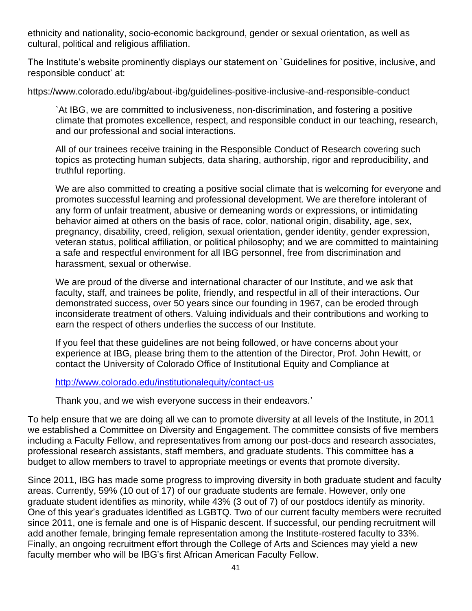ethnicity and nationality, socio-economic background, gender or sexual orientation, as well as cultural, political and religious affiliation.

The Institute's website prominently displays our statement on `Guidelines for positive, inclusive, and responsible conduct' at:

https://www.colorado.edu/ibg/about-ibg/guidelines-positive-inclusive-and-responsible-conduct

`At IBG, we are committed to inclusiveness, non-discrimination, and fostering a positive climate that promotes excellence, respect, and responsible conduct in our teaching, research, and our professional and social interactions.

All of our trainees receive training in the Responsible Conduct of Research covering such topics as protecting human subjects, data sharing, authorship, rigor and reproducibility, and truthful reporting.

We are also committed to creating a positive social climate that is welcoming for everyone and promotes successful learning and professional development. We are therefore intolerant of any form of unfair treatment, abusive or demeaning words or expressions, or intimidating behavior aimed at others on the basis of race, color, national origin, disability, age, sex, pregnancy, disability, creed, religion, sexual orientation, gender identity, gender expression, veteran status, political affiliation, or political philosophy; and we are committed to maintaining a safe and respectful environment for all IBG personnel, free from discrimination and harassment, sexual or otherwise.

We are proud of the diverse and international character of our Institute, and we ask that faculty, staff, and trainees be polite, friendly, and respectful in all of their interactions. Our demonstrated success, over 50 years since our founding in 1967, can be eroded through inconsiderate treatment of others. Valuing individuals and their contributions and working to earn the respect of others underlies the success of our Institute.

If you feel that these guidelines are not being followed, or have concerns about your experience at IBG, please bring them to the attention of the Director, Prof. John Hewitt, or contact the University of Colorado Office of Institutional Equity and Compliance at

#### <http://www.colorado.edu/institutionalequity/contact-us>

Thank you, and we wish everyone success in their endeavors.'

To help ensure that we are doing all we can to promote diversity at all levels of the Institute, in 2011 we established a Committee on Diversity and Engagement. The committee consists of five members including a Faculty Fellow, and representatives from among our post-docs and research associates, professional research assistants, staff members, and graduate students. This committee has a budget to allow members to travel to appropriate meetings or events that promote diversity.

Since 2011, IBG has made some progress to improving diversity in both graduate student and faculty areas. Currently, 59% (10 out of 17) of our graduate students are female. However, only one graduate student identifies as minority, while 43% (3 out of 7) of our postdocs identify as minority. One of this year's graduates identified as LGBTQ. Two of our current faculty members were recruited since 2011, one is female and one is of Hispanic descent. If successful, our pending recruitment will add another female, bringing female representation among the Institute-rostered faculty to 33%. Finally, an ongoing recruitment effort through the College of Arts and Sciences may yield a new faculty member who will be IBG's first African American Faculty Fellow.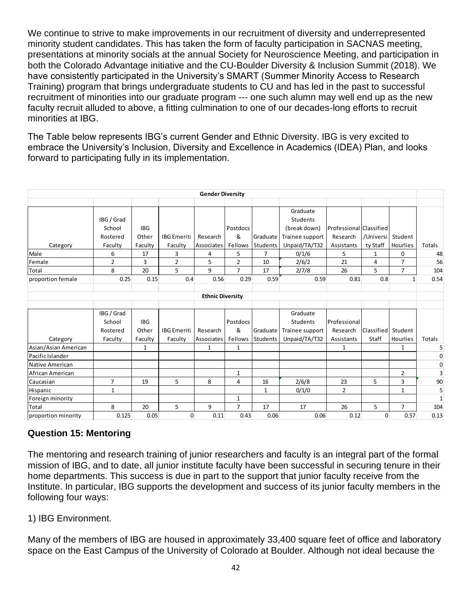We continue to strive to make improvements in our recruitment of diversity and underrepresented minority student candidates. This has taken the form of faculty participation in SACNAS meeting, presentations at minority socials at the annual Society for Neuroscience Meeting, and participation in both the Colorado Advantage initiative and the CU-Boulder Diversity & Inclusion Summit (2018). We have consistently participated in the University's SMART (Summer Minority Access to Research Training) program that brings undergraduate students to CU and has led in the past to successful recruitment of minorities into our graduate program --- one such alumn may well end up as the new faculty recruit alluded to above, a fitting culmination to one of our decades-long efforts to recruit minorities at IBG.

The Table below represents IBG's current Gender and Ethnic Diversity. IBG is very excited to embrace the University's Inclusion, Diversity and Excellence in Academics (IDEA) Plan, and looks forward to participating fully in its implementation.

|                                                             |                                                                         |                                                 |                                                           | <b>Gender Diversity</b>               |                                                                   |                                                    |                                                                                                     |                                                                    |                                      |                                                 |                           |
|-------------------------------------------------------------|-------------------------------------------------------------------------|-------------------------------------------------|-----------------------------------------------------------|---------------------------------------|-------------------------------------------------------------------|----------------------------------------------------|-----------------------------------------------------------------------------------------------------|--------------------------------------------------------------------|--------------------------------------|-------------------------------------------------|---------------------------|
| Category<br>Male<br>Female<br>Total                         | IBG / Grad<br>School<br>Rostered<br>Faculty<br>6<br>$\overline{2}$<br>8 | <b>IBG</b><br>Other<br>Faculty<br>17<br>3<br>20 | <b>IBG</b> Emeriti<br>Faculty<br>3<br>$\overline{2}$<br>5 | Research<br>Associates<br>4<br>5<br>9 | Postdocs<br>&<br>Fellows<br>5<br>$\overline{2}$<br>$\overline{7}$ | Graduate<br>Students<br>$\overline{7}$<br>10<br>17 | Graduate<br>Students<br>(break down)<br>Trainee support<br>Unpaid/TA/T32<br>0/1/6<br>2/6/2<br>2/7/8 | Professional Classified<br>Research<br>Assistants<br>5<br>21<br>26 | /Universi<br>ty Staff<br>1<br>4<br>5 | Student<br>Hourlies<br>0<br>7<br>$\overline{7}$ | Totals<br>48<br>56<br>104 |
| proportion female                                           | 0.25                                                                    | 0.15                                            | 0.4                                                       | 0.56                                  | 0.29                                                              | 0.59                                               | 0.59                                                                                                | 0.81                                                               | 0.8                                  | $\mathbf{1}$                                    | 0.54                      |
|                                                             | IBG / Grad<br>School<br>Rostered                                        | <b>IBG</b><br>Other                             | <b>IBG</b> Emeriti                                        | <b>Ethnic Diversity</b><br>Research   | Postdocs<br>&                                                     | Graduate                                           | Graduate<br>Students<br>Trainee support                                                             | Professional<br>Research                                           | Classified                           | Student                                         |                           |
| Category                                                    | Faculty                                                                 | Faculty                                         | Faculty                                                   | Associates                            | Fellows                                                           | Students                                           | Unpaid/TA/T32                                                                                       | Assistants                                                         | Staff                                | Hourlies                                        | Totals<br>5               |
| Asian/Asian American<br>Pacific Islander<br>Native American |                                                                         | 1                                               |                                                           | 1                                     | 1                                                                 |                                                    |                                                                                                     | 1                                                                  |                                      | 1                                               | $\mathbf 0$<br>0          |
| African American                                            |                                                                         |                                                 |                                                           |                                       | $\mathbf{1}$                                                      |                                                    |                                                                                                     |                                                                    |                                      | $\overline{2}$                                  | 3                         |
| Caucasian                                                   | $\overline{7}$                                                          | 19                                              | 5                                                         | 8                                     | 4                                                                 | 16                                                 | 2/6/8                                                                                               | 23                                                                 | 5                                    | 3                                               | 90                        |
| Hispanic                                                    | $\mathbf{1}$                                                            |                                                 |                                                           |                                       |                                                                   | $\mathbf{1}$                                       | 0/1/0                                                                                               | $\overline{2}$                                                     |                                      | $\mathbf{1}$                                    | 5                         |
| Foreign minority                                            |                                                                         |                                                 |                                                           |                                       | $\mathbf{1}$                                                      |                                                    |                                                                                                     |                                                                    |                                      |                                                 | $\mathbf{1}$              |
| Total                                                       | 8                                                                       | 20                                              | 5                                                         | 9                                     | $\overline{7}$                                                    | 17                                                 | 17                                                                                                  | 26                                                                 | 5                                    | $\overline{7}$                                  | 104                       |
| proportion minority                                         | 0.125                                                                   | 0.05                                            | 0                                                         | 0.11                                  | 0.43                                                              | 0.06                                               | 0.06                                                                                                | 0.12                                                               | $\mathbf{0}$                         | 0.57                                            | 0.13                      |

## **Question 15: Mentoring**

The mentoring and research training of junior researchers and faculty is an integral part of the formal mission of IBG, and to date, all junior institute faculty have been successful in securing tenure in their home departments. This success is due in part to the support that junior faculty receive from the Institute. In particular, IBG supports the development and success of its junior faculty members in the following four ways:

## 1) IBG Environment.

Many of the members of IBG are housed in approximately 33,400 square feet of office and laboratory space on the East Campus of the University of Colorado at Boulder. Although not ideal because the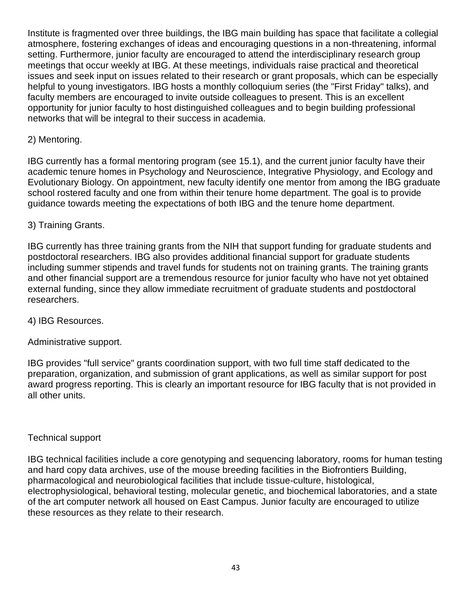Institute is fragmented over three buildings, the IBG main building has space that facilitate a collegial atmosphere, fostering exchanges of ideas and encouraging questions in a non-threatening, informal setting. Furthermore, junior faculty are encouraged to attend the interdisciplinary research group meetings that occur weekly at IBG. At these meetings, individuals raise practical and theoretical issues and seek input on issues related to their research or grant proposals, which can be especially helpful to young investigators. IBG hosts a monthly colloquium series (the "First Friday" talks), and faculty members are encouraged to invite outside colleagues to present. This is an excellent opportunity for junior faculty to host distinguished colleagues and to begin building professional networks that will be integral to their success in academia.

## 2) Mentoring.

IBG currently has a formal mentoring program (see 15.1), and the current junior faculty have their academic tenure homes in Psychology and Neuroscience, Integrative Physiology, and Ecology and Evolutionary Biology. On appointment, new faculty identify one mentor from among the IBG graduate school rostered faculty and one from within their tenure home department. The goal is to provide guidance towards meeting the expectations of both IBG and the tenure home department.

#### 3) Training Grants.

IBG currently has three training grants from the NIH that support funding for graduate students and postdoctoral researchers. IBG also provides additional financial support for graduate students including summer stipends and travel funds for students not on training grants. The training grants and other financial support are a tremendous resource for junior faculty who have not yet obtained external funding, since they allow immediate recruitment of graduate students and postdoctoral researchers.

#### 4) IBG Resources.

Administrative support.

IBG provides "full service" grants coordination support, with two full time staff dedicated to the preparation, organization, and submission of grant applications, as well as similar support for post award progress reporting. This is clearly an important resource for IBG faculty that is not provided in all other units.

#### Technical support

IBG technical facilities include a core genotyping and sequencing laboratory, rooms for human testing and hard copy data archives, use of the mouse breeding facilities in the Biofrontiers Building, pharmacological and neurobiological facilities that include tissue-culture, histological, electrophysiological, behavioral testing, molecular genetic, and biochemical laboratories, and a state of the art computer network all housed on East Campus. Junior faculty are encouraged to utilize these resources as they relate to their research.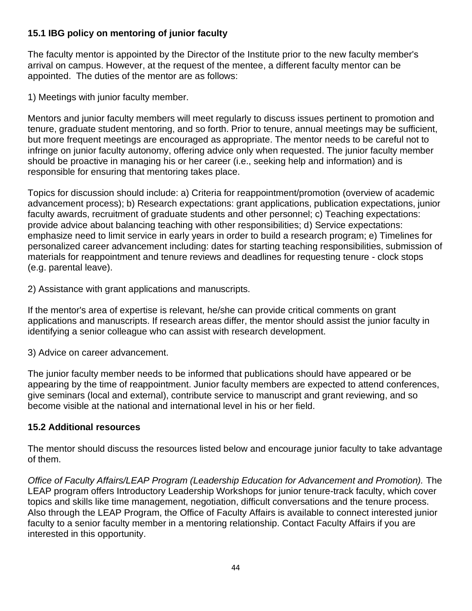## **15.1 IBG policy on mentoring of junior faculty**

The faculty mentor is appointed by the Director of the Institute prior to the new faculty member's arrival on campus. However, at the request of the mentee, a different faculty mentor can be appointed. The duties of the mentor are as follows:

1) Meetings with junior faculty member.

Mentors and junior faculty members will meet regularly to discuss issues pertinent to promotion and tenure, graduate student mentoring, and so forth. Prior to tenure, annual meetings may be sufficient, but more frequent meetings are encouraged as appropriate. The mentor needs to be careful not to infringe on junior faculty autonomy, offering advice only when requested. The junior faculty member should be proactive in managing his or her career (i.e., seeking help and information) and is responsible for ensuring that mentoring takes place.

Topics for discussion should include: a) Criteria for reappointment/promotion (overview of academic advancement process); b) Research expectations: grant applications, publication expectations, junior faculty awards, recruitment of graduate students and other personnel; c) Teaching expectations: provide advice about balancing teaching with other responsibilities; d) Service expectations: emphasize need to limit service in early years in order to build a research program; e) Timelines for personalized career advancement including: dates for starting teaching responsibilities, submission of materials for reappointment and tenure reviews and deadlines for requesting tenure - clock stops (e.g. parental leave).

2) Assistance with grant applications and manuscripts.

If the mentor's area of expertise is relevant, he/she can provide critical comments on grant applications and manuscripts. If research areas differ, the mentor should assist the junior faculty in identifying a senior colleague who can assist with research development.

3) Advice on career advancement.

The junior faculty member needs to be informed that publications should have appeared or be appearing by the time of reappointment. Junior faculty members are expected to attend conferences, give seminars (local and external), contribute service to manuscript and grant reviewing, and so become visible at the national and international level in his or her field.

## **15.2 Additional resources**

The mentor should discuss the resources listed below and encourage junior faculty to take advantage of them.

*Office of Faculty Affairs/LEAP Program (Leadership Education for Advancement and Promotion).* The LEAP program offers Introductory Leadership Workshops for junior tenure-track faculty, which cover topics and skills like time management, negotiation, difficult conversations and the tenure process. Also through the LEAP Program, the Office of Faculty Affairs is available to connect interested junior faculty to a senior faculty member in a mentoring relationship. Contact Faculty Affairs if you are interested in this opportunity.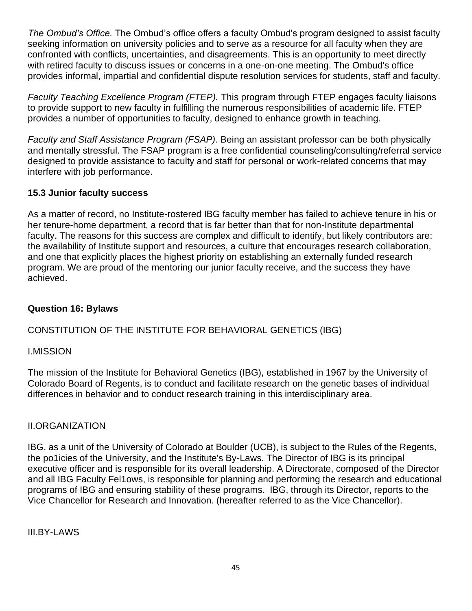*The Ombud's Office.* The Ombud's office offers a faculty Ombud's program designed to assist faculty seeking information on university policies and to serve as a resource for all faculty when they are confronted with conflicts, uncertainties, and disagreements. This is an opportunity to meet directly with retired faculty to discuss issues or concerns in a one-on-one meeting. The Ombud's office provides informal, impartial and confidential dispute resolution services for students, staff and faculty.

*Faculty Teaching Excellence Program (FTEP).* This program through FTEP engages faculty liaisons to provide support to new faculty in fulfilling the numerous responsibilities of academic life. FTEP provides a number of opportunities to faculty, designed to enhance growth in teaching.

*Faculty and Staff Assistance Program (FSAP)*. Being an assistant professor can be both physically and mentally stressful. The FSAP program is a free confidential counseling/consulting/referral service designed to provide assistance to faculty and staff for personal or work-related concerns that may interfere with job performance.

## **15.3 Junior faculty success**

As a matter of record, no Institute-rostered IBG faculty member has failed to achieve tenure in his or her tenure-home department, a record that is far better than that for non-Institute departmental faculty. The reasons for this success are complex and difficult to identify, but likely contributors are: the availability of Institute support and resources, a culture that encourages research collaboration, and one that explicitly places the highest priority on establishing an externally funded research program. We are proud of the mentoring our junior faculty receive, and the success they have achieved.

## **Question 16: Bylaws**

## CONSTITUTION OF THE INSTITUTE FOR BEHAVIORAL GENETICS (IBG)

## I.MISSION

The mission of the Institute for Behavioral Genetics (IBG), established in 1967 by the University of Colorado Board of Regents, is to conduct and facilitate research on the genetic bases of individual differences in behavior and to conduct research training in this interdisciplinary area.

## II.ORGANIZATION

IBG, as a unit of the University of Colorado at Boulder (UCB), is subject to the Rules of the Regents, the po1icies of the University, and the Institute's By-Laws. The Director of IBG is its principal executive officer and is responsible for its overall leadership. A Directorate, composed of the Director and all IBG Faculty Fel1ows, is responsible for planning and performing the research and educational programs of IBG and ensuring stability of these programs. IBG, through its Director, reports to the Vice Chancellor for Research and Innovation. (hereafter referred to as the Vice Chancellor).

III.BY-LAWS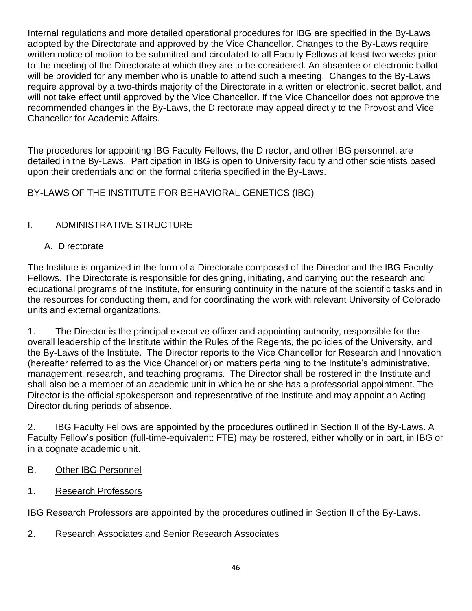Internal regulations and more detailed operational procedures for IBG are specified in the By-Laws adopted by the Directorate and approved by the Vice Chancellor. Changes to the By-Laws require written notice of motion to be submitted and circulated to all Faculty Fellows at least two weeks prior to the meeting of the Directorate at which they are to be considered. An absentee or electronic ballot will be provided for any member who is unable to attend such a meeting. Changes to the By-Laws require approval by a two-thirds majority of the Directorate in a written or electronic, secret ballot, and will not take effect until approved by the Vice Chancellor. If the Vice Chancellor does not approve the recommended changes in the By-Laws, the Directorate may appeal directly to the Provost and Vice Chancellor for Academic Affairs.

The procedures for appointing IBG Faculty Fellows, the Director, and other IBG personnel, are detailed in the By-Laws. Participation in IBG is open to University faculty and other scientists based upon their credentials and on the formal criteria specified in the By-Laws.

BY-LAWS OF THE INSTITUTE FOR BEHAVIORAL GENETICS (IBG)

## I. ADMINISTRATIVE STRUCTURE

## A. Directorate

The Institute is organized in the form of a Directorate composed of the Director and the IBG Faculty Fellows. The Directorate is responsible for designing, initiating, and carrying out the research and educational programs of the Institute, for ensuring continuity in the nature of the scientific tasks and in the resources for conducting them, and for coordinating the work with relevant University of Colorado units and external organizations.

1. The Director is the principal executive officer and appointing authority, responsible for the overall leadership of the Institute within the Rules of the Regents, the policies of the University, and the By-Laws of the Institute. The Director reports to the Vice Chancellor for Research and Innovation (hereafter referred to as the Vice Chancellor) on matters pertaining to the Institute's administrative, management, research, and teaching programs. The Director shall be rostered in the Institute and shall also be a member of an academic unit in which he or she has a professorial appointment. The Director is the official spokesperson and representative of the Institute and may appoint an Acting Director during periods of absence.

2. IBG Faculty Fellows are appointed by the procedures outlined in Section II of the By-Laws. A Faculty Fellow's position (full-time-equivalent: FTE) may be rostered, either wholly or in part, in IBG or in a cognate academic unit.

## B. Other IBG Personnel

## 1. Research Professors

IBG Research Professors are appointed by the procedures outlined in Section II of the By-Laws.

2. Research Associates and Senior Research Associates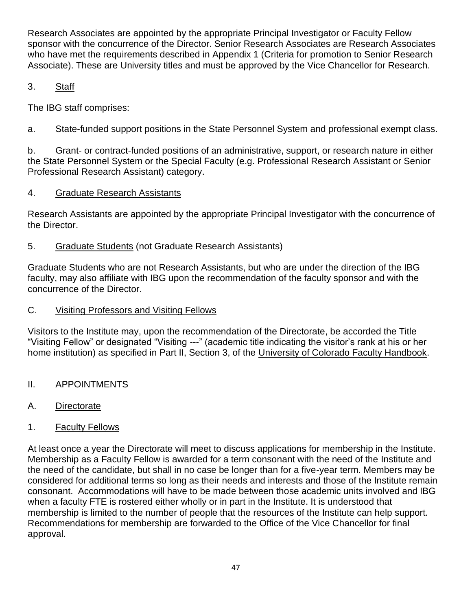Research Associates are appointed by the appropriate Principal Investigator or Faculty Fellow sponsor with the concurrence of the Director. Senior Research Associates are Research Associates who have met the requirements described in Appendix 1 (Criteria for promotion to Senior Research Associate). These are University titles and must be approved by the Vice Chancellor for Research.

# 3. Staff

The IBG staff comprises:

a. State-funded support positions in the State Personnel System and professional exempt class.

b. Grant- or contract-funded positions of an administrative, support, or research nature in either the State Personnel System or the Special Faculty (e.g. Professional Research Assistant or Senior Professional Research Assistant) category.

# 4. Graduate Research Assistants

Research Assistants are appointed by the appropriate Principal Investigator with the concurrence of the Director.

# 5. Graduate Students (not Graduate Research Assistants)

Graduate Students who are not Research Assistants, but who are under the direction of the IBG faculty, may also affiliate with IBG upon the recommendation of the faculty sponsor and with the concurrence of the Director.

# C. Visiting Professors and Visiting Fellows

Visitors to the Institute may, upon the recommendation of the Directorate, be accorded the Title "Visiting Fellow" or designated "Visiting ---" (academic title indicating the visitor's rank at his or her home institution) as specified in Part II, Section 3, of the University of Colorado Faculty Handbook.

- II. APPOINTMENTS
- A. Directorate
- 1. Faculty Fellows

At least once a year the Directorate will meet to discuss applications for membership in the Institute. Membership as a Faculty Fellow is awarded for a term consonant with the need of the Institute and the need of the candidate, but shall in no case be longer than for a five-year term. Members may be considered for additional terms so long as their needs and interests and those of the Institute remain consonant. Accommodations will have to be made between those academic units involved and IBG when a faculty FTE is rostered either wholly or in part in the Institute. It is understood that membership is limited to the number of people that the resources of the Institute can help support. Recommendations for membership are forwarded to the Office of the Vice Chancellor for final approval.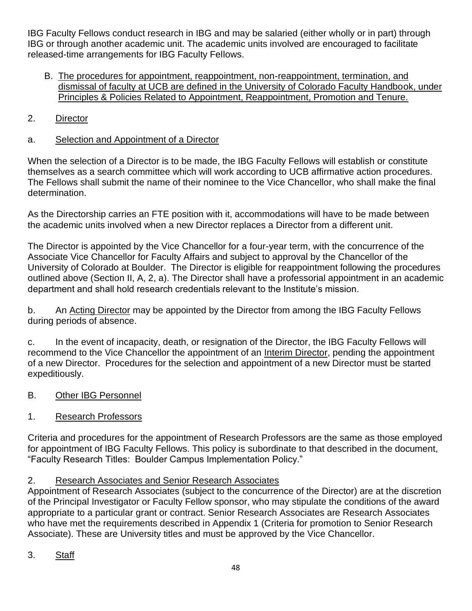IBG Faculty Fellows conduct research in IBG and may be salaried (either wholly or in part) through IBG or through another academic unit. The academic units involved are encouraged to facilitate released-time arrangements for IBG Faculty Fellows.

- B. The procedures for appointment, reappointment, non-reappointment, termination, and dismissal of faculty at UCB are defined in the University of Colorado Faculty Handbook, under Principles & Policies Related to Appointment, Reappointment, Promotion and Tenure.
- 2. Director
- a. Selection and Appointment of a Director

When the selection of a Director is to be made, the IBG Faculty Fellows will establish or constitute themselves as a search committee which will work according to UCB affirmative action procedures. The Fellows shall submit the name of their nominee to the Vice Chancellor, who shall make the final determination.

As the Directorship carries an FTE position with it, accommodations will have to be made between the academic units involved when a new Director replaces a Director from a different unit.

The Director is appointed by the Vice Chancellor for a four-year term, with the concurrence of the Associate Vice Chancellor for Faculty Affairs and subject to approval by the Chancellor of the University of Colorado at Boulder. The Director is eligible for reappointment following the procedures outlined above (Section II, A, 2, a). The Director shall have a professorial appointment in an academic department and shall hold research credentials relevant to the Institute's mission.

b. An Acting Director may be appointed by the Director from among the IBG Faculty Fellows during periods of absence.

c. In the event of incapacity, death, or resignation of the Director, the IBG Faculty Fellows will recommend to the Vice Chancellor the appointment of an Interim Director, pending the appointment of a new Director. Procedures for the selection and appointment of a new Director must be started expeditiously.

- B. Other IBG Personnel
- 1. Research Professors

Criteria and procedures for the appointment of Research Professors are the same as those employed for appointment of IBG Faculty Fellows. This policy is subordinate to that described in the document, "Faculty Research Titles: Boulder Campus Implementation Policy."

## 2. Research Associates and Senior Research Associates

Appointment of Research Associates (subject to the concurrence of the Director) are at the discretion of the Principal Investigator or Faculty Fellow sponsor, who may stipulate the conditions of the award appropriate to a particular grant or contract. Senior Research Associates are Research Associates who have met the requirements described in Appendix 1 (Criteria for promotion to Senior Research Associate). These are University titles and must be approved by the Vice Chancellor.

3. Staff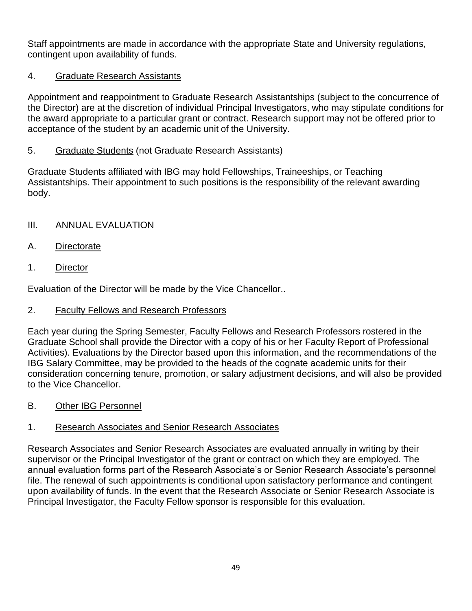Staff appointments are made in accordance with the appropriate State and University regulations, contingent upon availability of funds.

## 4. Graduate Research Assistants

Appointment and reappointment to Graduate Research Assistantships (subject to the concurrence of the Director) are at the discretion of individual Principal Investigators, who may stipulate conditions for the award appropriate to a particular grant or contract. Research support may not be offered prior to acceptance of the student by an academic unit of the University.

## 5. Graduate Students (not Graduate Research Assistants)

Graduate Students affiliated with IBG may hold Fellowships, Traineeships, or Teaching Assistantships. Their appointment to such positions is the responsibility of the relevant awarding body.

## III. ANNUAL EVALUATION

- A. Directorate
- 1. Director

Evaluation of the Director will be made by the Vice Chancellor..

## 2. Faculty Fellows and Research Professors

Each year during the Spring Semester, Faculty Fellows and Research Professors rostered in the Graduate School shall provide the Director with a copy of his or her Faculty Report of Professional Activities). Evaluations by the Director based upon this information, and the recommendations of the IBG Salary Committee, may be provided to the heads of the cognate academic units for their consideration concerning tenure, promotion, or salary adjustment decisions, and will also be provided to the Vice Chancellor.

B. Other IBG Personnel

## 1. Research Associates and Senior Research Associates

Research Associates and Senior Research Associates are evaluated annually in writing by their supervisor or the Principal Investigator of the grant or contract on which they are employed. The annual evaluation forms part of the Research Associate's or Senior Research Associate's personnel file. The renewal of such appointments is conditional upon satisfactory performance and contingent upon availability of funds. In the event that the Research Associate or Senior Research Associate is Principal Investigator, the Faculty Fellow sponsor is responsible for this evaluation.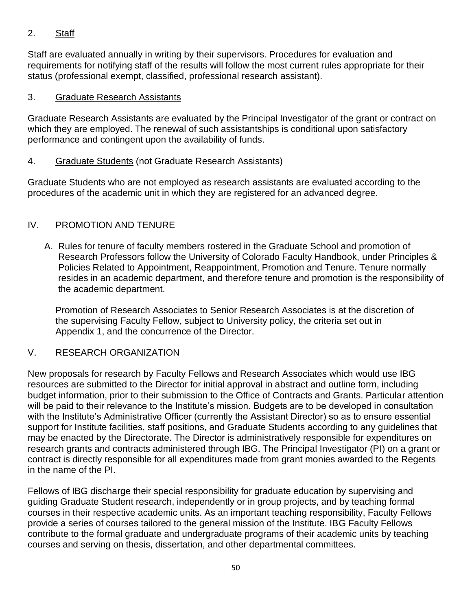## 2. Staff

Staff are evaluated annually in writing by their supervisors. Procedures for evaluation and requirements for notifying staff of the results will follow the most current rules appropriate for their status (professional exempt, classified, professional research assistant).

## 3. Graduate Research Assistants

Graduate Research Assistants are evaluated by the Principal Investigator of the grant or contract on which they are employed. The renewal of such assistantships is conditional upon satisfactory performance and contingent upon the availability of funds.

## 4. Graduate Students (not Graduate Research Assistants)

Graduate Students who are not employed as research assistants are evaluated according to the procedures of the academic unit in which they are registered for an advanced degree.

## IV. PROMOTION AND TENURE

A. Rules for tenure of faculty members rostered in the Graduate School and promotion of Research Professors follow the University of Colorado Faculty Handbook, under Principles & Policies Related to Appointment, Reappointment, Promotion and Tenure. Tenure normally resides in an academic department, and therefore tenure and promotion is the responsibility of the academic department.

 Promotion of Research Associates to Senior Research Associates is at the discretion of the supervising Faculty Fellow, subject to University policy, the criteria set out in Appendix 1, and the concurrence of the Director.

## V. RESEARCH ORGANIZATION

New proposals for research by Faculty Fellows and Research Associates which would use IBG resources are submitted to the Director for initial approval in abstract and outline form, including budget information, prior to their submission to the Office of Contracts and Grants. Particular attention will be paid to their relevance to the Institute's mission. Budgets are to be developed in consultation with the Institute's Administrative Officer (currently the Assistant Director) so as to ensure essential support for Institute facilities, staff positions, and Graduate Students according to any guidelines that may be enacted by the Directorate. The Director is administratively responsible for expenditures on research grants and contracts administered through IBG. The Principal Investigator (PI) on a grant or contract is directly responsible for all expenditures made from grant monies awarded to the Regents in the name of the PI.

Fellows of IBG discharge their special responsibility for graduate education by supervising and guiding Graduate Student research, independently or in group projects, and by teaching formal courses in their respective academic units. As an important teaching responsibility, Faculty Fellows provide a series of courses tailored to the general mission of the Institute. IBG Faculty Fellows contribute to the formal graduate and undergraduate programs of their academic units by teaching courses and serving on thesis, dissertation, and other departmental committees.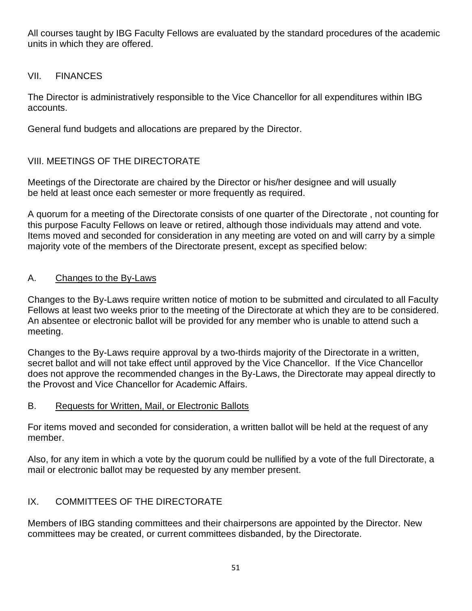All courses taught by IBG Faculty Fellows are evaluated by the standard procedures of the academic units in which they are offered.

## VII. FINANCES

The Director is administratively responsible to the Vice Chancellor for all expenditures within IBG accounts.

General fund budgets and allocations are prepared by the Director.

## VIII. MEETINGS OF THE DIRECTORATE

Meetings of the Directorate are chaired by the Director or his/her designee and will usually be held at least once each semester or more frequently as required.

A quorum for a meeting of the Directorate consists of one quarter of the Directorate , not counting for this purpose Faculty Fellows on leave or retired, although those individuals may attend and vote. Items moved and seconded for consideration in any meeting are voted on and will carry by a simple majority vote of the members of the Directorate present, except as specified below:

## A. Changes to the By-Laws

Changes to the By-Laws require written notice of motion to be submitted and circulated to all Faculty Fellows at least two weeks prior to the meeting of the Directorate at which they are to be considered. An absentee or electronic ballot will be provided for any member who is unable to attend such a meeting.

Changes to the By-Laws require approval by a two-thirds majority of the Directorate in a written, secret ballot and will not take effect until approved by the Vice Chancellor. If the Vice Chancellor does not approve the recommended changes in the By-Laws, the Directorate may appeal directly to the Provost and Vice Chancellor for Academic Affairs.

## B. Requests for Written, Mail, or Electronic Ballots

For items moved and seconded for consideration, a written ballot will be held at the request of any member.

Also, for any item in which a vote by the quorum could be nullified by a vote of the full Directorate, a mail or electronic ballot may be requested by any member present.

## IX. COMMITTEES OF THE DIRECTORATE

Members of IBG standing committees and their chairpersons are appointed by the Director. New committees may be created, or current committees disbanded, by the Directorate.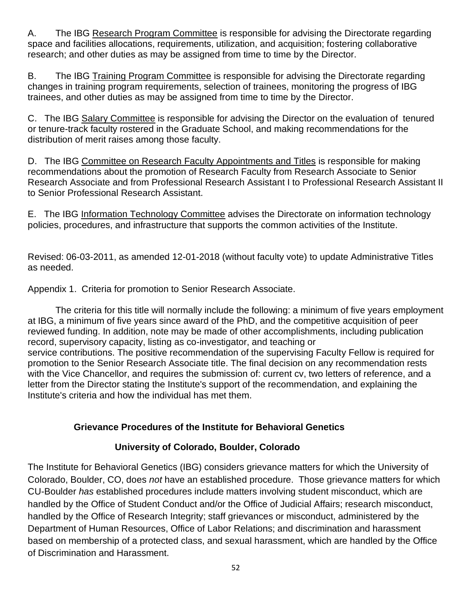A. The IBG Research Program Committee is responsible for advising the Directorate regarding space and facilities allocations, requirements, utilization, and acquisition; fostering collaborative research; and other duties as may be assigned from time to time by the Director.

B. The IBG Training Program Committee is responsible for advising the Directorate regarding changes in training program requirements, selection of trainees, monitoring the progress of IBG trainees, and other duties as may be assigned from time to time by the Director.

C. The IBG Salary Committee is responsible for advising the Director on the evaluation of tenured or tenure-track faculty rostered in the Graduate School, and making recommendations for the distribution of merit raises among those faculty.

D. The IBG Committee on Research Faculty Appointments and Titles is responsible for making recommendations about the promotion of Research Faculty from Research Associate to Senior Research Associate and from Professional Research Assistant I to Professional Research Assistant II to Senior Professional Research Assistant.

E. The IBG Information Technology Committee advises the Directorate on information technology policies, procedures, and infrastructure that supports the common activities of the Institute.

Revised: 06-03-2011, as amended 12-01-2018 (without faculty vote) to update Administrative Titles as needed.

Appendix 1. Criteria for promotion to Senior Research Associate.

The criteria for this title will normally include the following: a minimum of five years employment at IBG, a minimum of five years since award of the PhD, and the competitive acquisition of peer reviewed funding. In addition, note may be made of other accomplishments, including publication record, supervisory capacity, listing as co-investigator, and teaching or

service contributions. The positive recommendation of the supervising Faculty Fellow is required for promotion to the Senior Research Associate title. The final decision on any recommendation rests with the Vice Chancellor, and requires the submission of: current cv, two letters of reference, and a letter from the Director stating the Institute's support of the recommendation, and explaining the Institute's criteria and how the individual has met them.

## **Grievance Procedures of the Institute for Behavioral Genetics**

## **University of Colorado, Boulder, Colorado**

The Institute for Behavioral Genetics (IBG) considers grievance matters for which the University of Colorado, Boulder, CO, does *not* have an established procedure. Those grievance matters for which CU-Boulder *has* established procedures include matters involving student misconduct, which are handled by the Office of Student Conduct and/or the Office of Judicial Affairs; research misconduct, handled by the Office of Research Integrity; staff grievances or misconduct, administered by the Department of Human Resources, Office of Labor Relations; and discrimination and harassment based on membership of a protected class, and sexual harassment, which are handled by the Office of Discrimination and Harassment.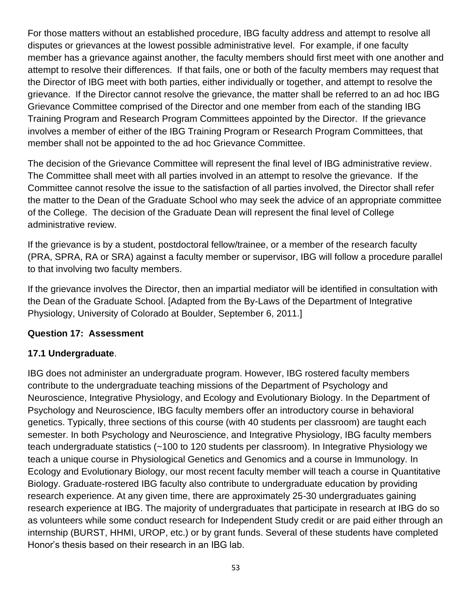For those matters without an established procedure, IBG faculty address and attempt to resolve all disputes or grievances at the lowest possible administrative level. For example, if one faculty member has a grievance against another, the faculty members should first meet with one another and attempt to resolve their differences. If that fails, one or both of the faculty members may request that the Director of IBG meet with both parties, either individually or together, and attempt to resolve the grievance. If the Director cannot resolve the grievance, the matter shall be referred to an ad hoc IBG Grievance Committee comprised of the Director and one member from each of the standing IBG Training Program and Research Program Committees appointed by the Director. If the grievance involves a member of either of the IBG Training Program or Research Program Committees, that member shall not be appointed to the ad hoc Grievance Committee.

The decision of the Grievance Committee will represent the final level of IBG administrative review. The Committee shall meet with all parties involved in an attempt to resolve the grievance. If the Committee cannot resolve the issue to the satisfaction of all parties involved, the Director shall refer the matter to the Dean of the Graduate School who may seek the advice of an appropriate committee of the College. The decision of the Graduate Dean will represent the final level of College administrative review.

If the grievance is by a student, postdoctoral fellow/trainee, or a member of the research faculty (PRA, SPRA, RA or SRA) against a faculty member or supervisor, IBG will follow a procedure parallel to that involving two faculty members.

If the grievance involves the Director, then an impartial mediator will be identified in consultation with the Dean of the Graduate School. [Adapted from the By-Laws of the Department of Integrative Physiology, University of Colorado at Boulder, September 6, 2011.]

## **Question 17: Assessment**

## **17.1 Undergraduate**.

IBG does not administer an undergraduate program. However, IBG rostered faculty members contribute to the undergraduate teaching missions of the Department of Psychology and Neuroscience, Integrative Physiology, and Ecology and Evolutionary Biology. In the Department of Psychology and Neuroscience, IBG faculty members offer an introductory course in behavioral genetics. Typically, three sections of this course (with 40 students per classroom) are taught each semester. In both Psychology and Neuroscience, and Integrative Physiology, IBG faculty members teach undergraduate statistics (~100 to 120 students per classroom). In Integrative Physiology we teach a unique course in Physiological Genetics and Genomics and a course in Immunology. In Ecology and Evolutionary Biology, our most recent faculty member will teach a course in Quantitative Biology. Graduate-rostered IBG faculty also contribute to undergraduate education by providing research experience. At any given time, there are approximately 25-30 undergraduates gaining research experience at IBG. The majority of undergraduates that participate in research at IBG do so as volunteers while some conduct research for Independent Study credit or are paid either through an internship (BURST, HHMI, UROP, etc.) or by grant funds. Several of these students have completed Honor's thesis based on their research in an IBG lab.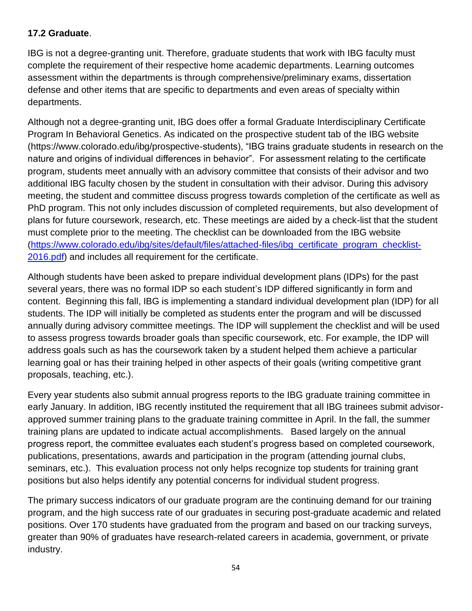## **17.2 Graduate**.

IBG is not a degree-granting unit. Therefore, graduate students that work with IBG faculty must complete the requirement of their respective home academic departments. Learning outcomes assessment within the departments is through comprehensive/preliminary exams, dissertation defense and other items that are specific to departments and even areas of specialty within departments.

Although not a degree-granting unit, IBG does offer a formal Graduate Interdisciplinary Certificate Program In Behavioral Genetics. As indicated on the prospective student tab of the IBG website (https://www.colorado.edu/ibg/prospective-students), "IBG trains graduate students in research on the nature and origins of individual differences in behavior". For assessment relating to the certificate program, students meet annually with an advisory committee that consists of their advisor and two additional IBG faculty chosen by the student in consultation with their advisor. During this advisory meeting, the student and committee discuss progress towards completion of the certificate as well as PhD program. This not only includes discussion of completed requirements, but also development of plans for future coursework, research, etc. These meetings are aided by a check-list that the student must complete prior to the meeting. The checklist can be downloaded from the IBG website [\(https://www.colorado.edu/ibg/sites/default/files/attached-files/ibg\\_certificate\\_program\\_checklist-](https://www.colorado.edu/ibg/sites/default/files/attached-files/ibg_certificate_program_checklist-2016.pdf)[2016.pdf\)](https://www.colorado.edu/ibg/sites/default/files/attached-files/ibg_certificate_program_checklist-2016.pdf) and includes all requirement for the certificate.

Although students have been asked to prepare individual development plans (IDPs) for the past several years, there was no formal IDP so each student's IDP differed significantly in form and content. Beginning this fall, IBG is implementing a standard individual development plan (IDP) for all students. The IDP will initially be completed as students enter the program and will be discussed annually during advisory committee meetings. The IDP will supplement the checklist and will be used to assess progress towards broader goals than specific coursework, etc. For example, the IDP will address goals such as has the coursework taken by a student helped them achieve a particular learning goal or has their training helped in other aspects of their goals (writing competitive grant proposals, teaching, etc.).

Every year students also submit annual progress reports to the IBG graduate training committee in early January. In addition, IBG recently instituted the requirement that all IBG trainees submit advisorapproved summer training plans to the graduate training committee in April. In the fall, the summer training plans are updated to indicate actual accomplishments. Based largely on the annual progress report, the committee evaluates each student's progress based on completed coursework, publications, presentations, awards and participation in the program (attending journal clubs, seminars, etc.). This evaluation process not only helps recognize top students for training grant positions but also helps identify any potential concerns for individual student progress.

The primary success indicators of our graduate program are the continuing demand for our training program, and the high success rate of our graduates in securing post-graduate academic and related positions. Over 170 students have graduated from the program and based on our tracking surveys, greater than 90% of graduates have research-related careers in academia, government, or private industry.